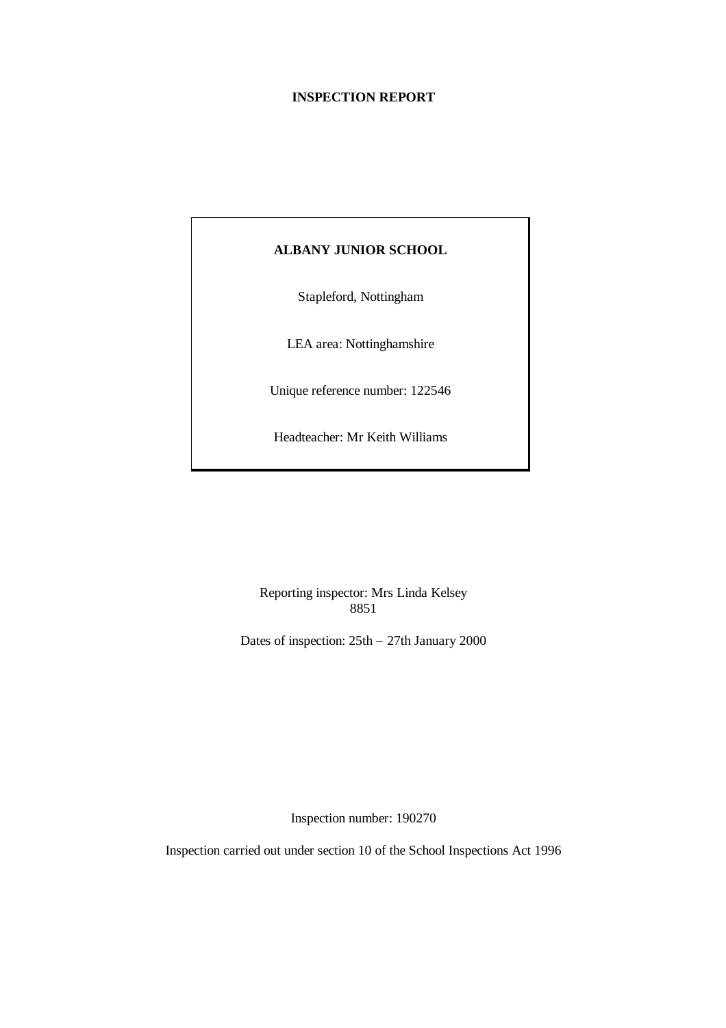#### **INSPECTION REPORT**

# **ALBANY JUNIOR SCHOOL**

Stapleford, Nottingham

LEA area: Nottinghamshire

Unique reference number: 122546

Headteacher: Mr Keith Williams

Reporting inspector: Mrs Linda Kelsey 8851

Dates of inspection: 25th – 27th January 2000

Inspection number: 190270

Inspection carried out under section 10 of the School Inspections Act 1996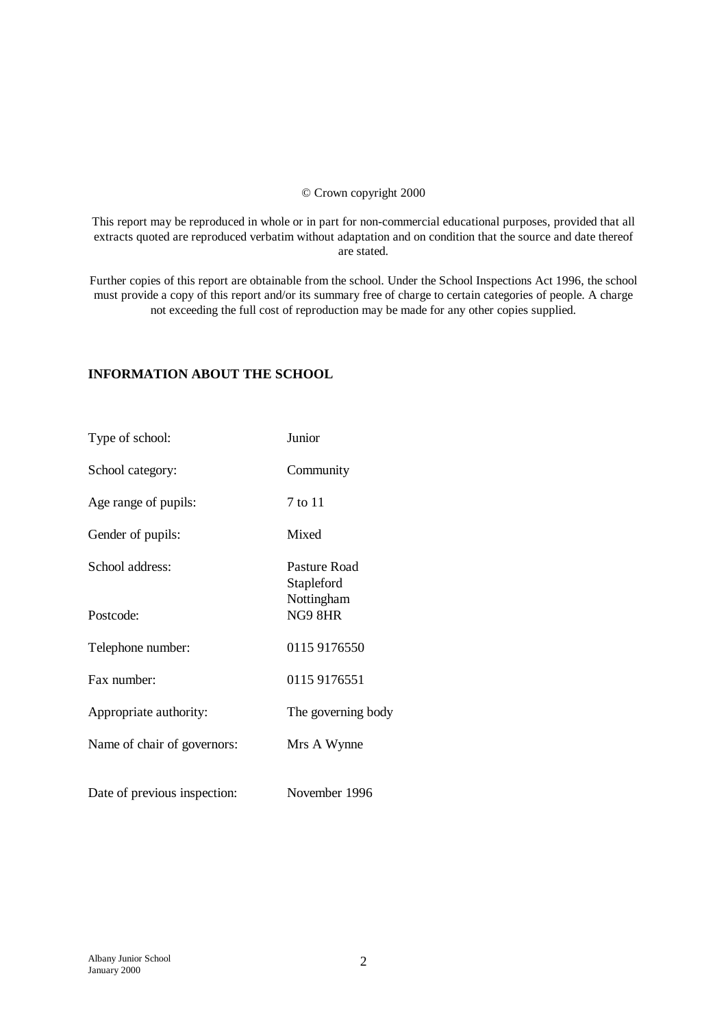#### © Crown copyright 2000

This report may be reproduced in whole or in part for non-commercial educational purposes, provided that all extracts quoted are reproduced verbatim without adaptation and on condition that the source and date thereof are stated.

Further copies of this report are obtainable from the school. Under the School Inspections Act 1996, the school must provide a copy of this report and/or its summary free of charge to certain categories of people. A charge not exceeding the full cost of reproduction may be made for any other copies supplied.

## **INFORMATION ABOUT THE SCHOOL**

| Type of school:              | Junior                                   |
|------------------------------|------------------------------------------|
| School category:             | Community                                |
| Age range of pupils:         | 7 to 11                                  |
| Gender of pupils:            | Mixed                                    |
| School address:              | Pasture Road<br>Stapleford<br>Nottingham |
| Postcode:                    | NG9 8HR                                  |
| Telephone number:            | 0115 9176550                             |
| Fax number:                  | 0115 9176551                             |
| Appropriate authority:       | The governing body                       |
| Name of chair of governors:  | Mrs A Wynne                              |
| Date of previous inspection: | November 1996                            |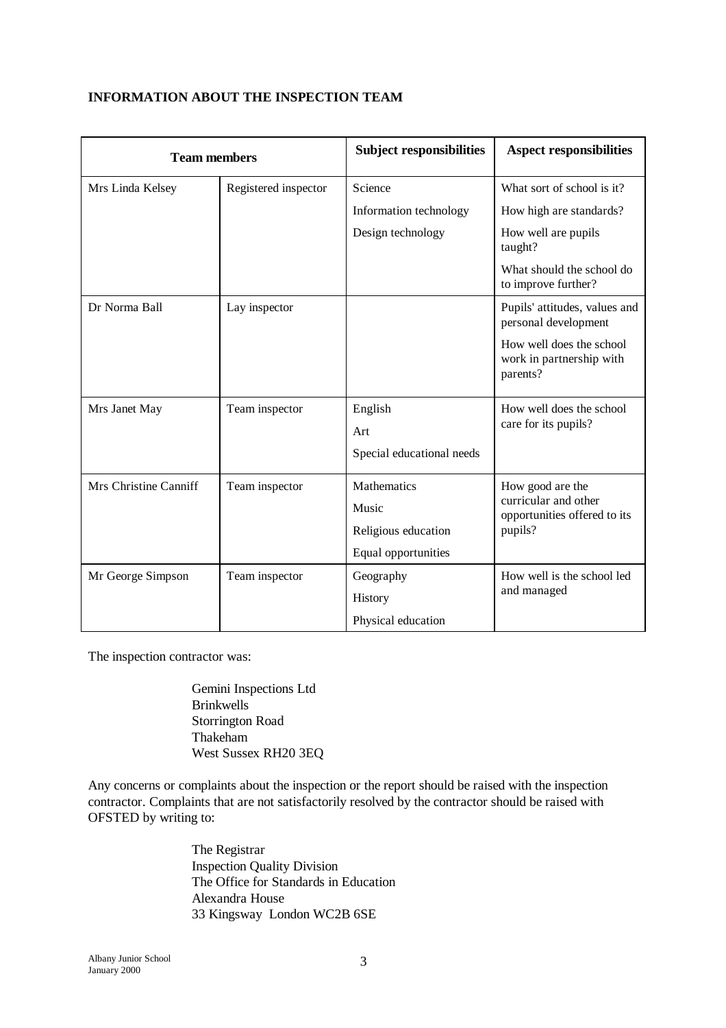# **INFORMATION ABOUT THE INSPECTION TEAM**

| <b>Team members</b>   |                           | <b>Subject responsibilities</b> | <b>Aspect responsibilities</b>                                   |  |
|-----------------------|---------------------------|---------------------------------|------------------------------------------------------------------|--|
| Mrs Linda Kelsey      | Registered inspector      | Science                         | What sort of school is it?                                       |  |
|                       |                           | Information technology          | How high are standards?                                          |  |
|                       |                           | Design technology               | How well are pupils<br>taught?                                   |  |
|                       |                           |                                 | What should the school do<br>to improve further?                 |  |
| Dr Norma Ball         | Lay inspector             |                                 | Pupils' attitudes, values and<br>personal development            |  |
|                       |                           |                                 | How well does the school<br>work in partnership with<br>parents? |  |
| Mrs Janet May         | English<br>Team inspector |                                 | How well does the school<br>care for its pupils?                 |  |
|                       |                           | Art                             |                                                                  |  |
|                       |                           | Special educational needs       |                                                                  |  |
| Mrs Christine Canniff | Team inspector            | Mathematics                     | How good are the                                                 |  |
|                       |                           | Music                           | curricular and other<br>opportunities offered to its             |  |
|                       |                           | Religious education             | pupils?                                                          |  |
|                       |                           | Equal opportunities             |                                                                  |  |
| Mr George Simpson     | Team inspector            | Geography                       | How well is the school led                                       |  |
|                       |                           | History                         | and managed                                                      |  |
|                       |                           | Physical education              |                                                                  |  |

The inspection contractor was:

Gemini Inspections Ltd Brinkwells Storrington Road Thakeham West Sussex RH20 3EQ

Any concerns or complaints about the inspection or the report should be raised with the inspection contractor. Complaints that are not satisfactorily resolved by the contractor should be raised with OFSTED by writing to:

> The Registrar Inspection Quality Division The Office for Standards in Education Alexandra House 33 Kingsway London WC2B 6SE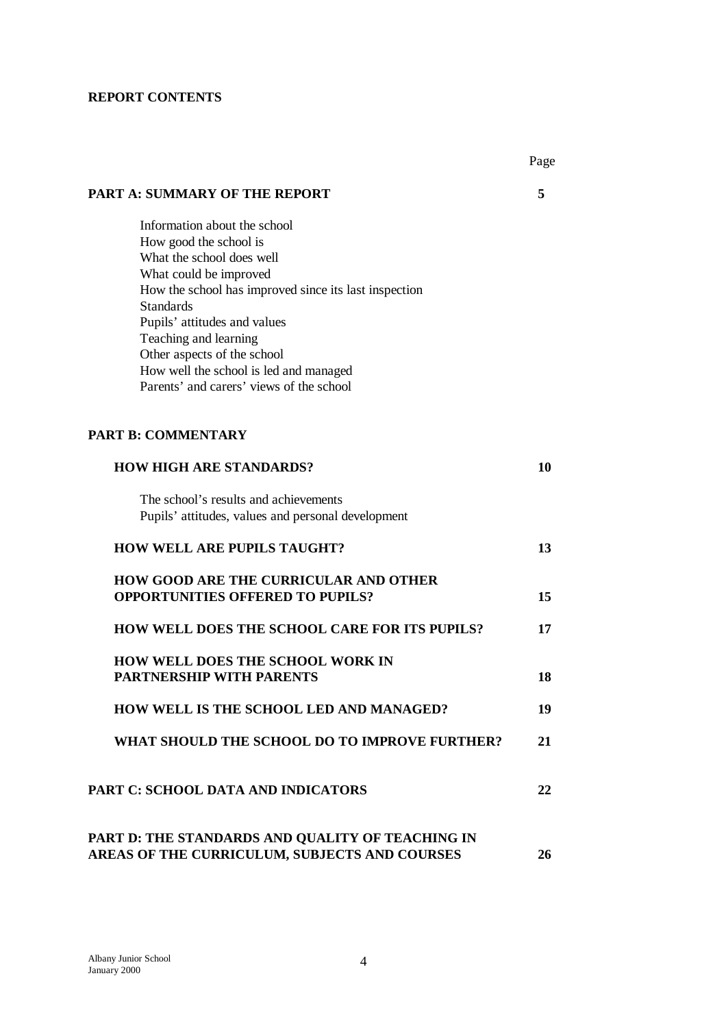## **REPORT CONTENTS**

|                                                                                  | Page |
|----------------------------------------------------------------------------------|------|
| <b>PART A: SUMMARY OF THE REPORT</b>                                             | 5    |
| Information about the school                                                     |      |
| How good the school is                                                           |      |
| What the school does well                                                        |      |
| What could be improved                                                           |      |
| How the school has improved since its last inspection                            |      |
| <b>Standards</b>                                                                 |      |
| Pupils' attitudes and values                                                     |      |
| Teaching and learning                                                            |      |
| Other aspects of the school                                                      |      |
| How well the school is led and managed                                           |      |
| Parents' and carers' views of the school                                         |      |
| <b>PART B: COMMENTARY</b>                                                        |      |
| <b>HOW HIGH ARE STANDARDS?</b>                                                   | 10   |
| The school's results and achievements                                            |      |
| Pupils' attitudes, values and personal development                               |      |
| <b>HOW WELL ARE PUPILS TAUGHT?</b>                                               | 13   |
| HOW GOOD ARE THE CURRICULAR AND OTHER<br><b>OPPORTUNITIES OFFERED TO PUPILS?</b> | 15   |
| <b>HOW WELL DOES THE SCHOOL CARE FOR ITS PUPILS?</b>                             | 17   |
| <b>HOW WELL DOES THE SCHOOL WORK IN</b>                                          |      |
| PARTNERSHIP WITH PARENTS                                                         | 18   |
| HOW WELL IS THE SCHOOL LED AND MANAGED?                                          | 19   |
| WHAT SHOULD THE SCHOOL DO TO IMPROVE FURTHER?                                    | 21   |
| PART C: SCHOOL DATA AND INDICATORS                                               | 22   |
| PART D: THE STANDARDS AND QUALITY OF TEACHING IN                                 |      |
| AREAS OF THE CURRICULUM, SUBJECTS AND COURSES                                    | 26   |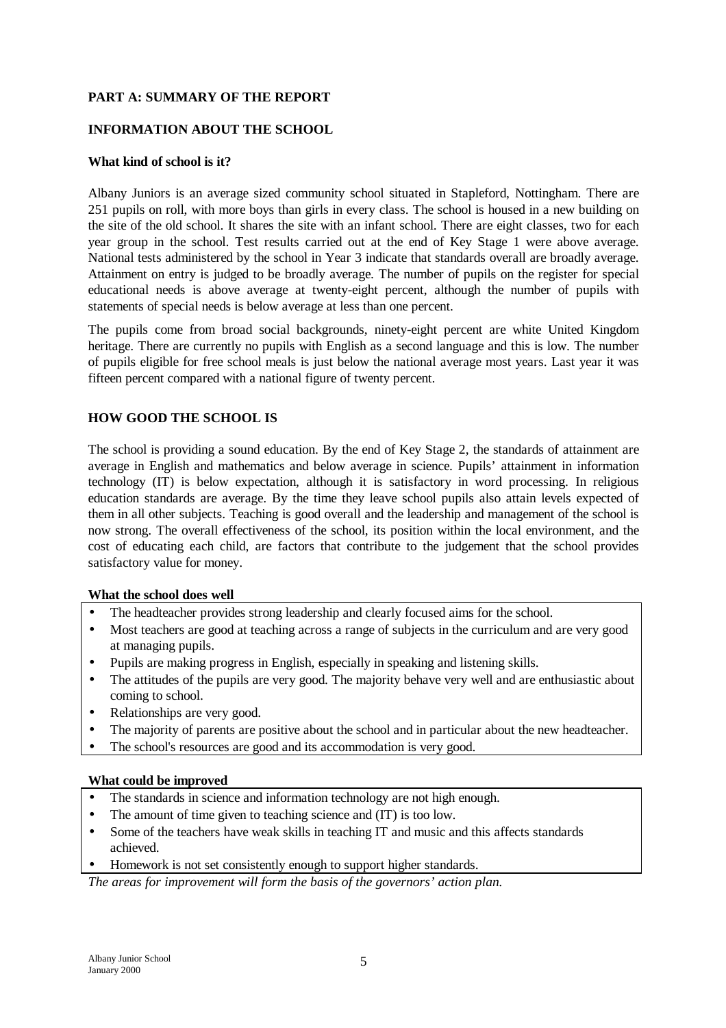## **PART A: SUMMARY OF THE REPORT**

## **INFORMATION ABOUT THE SCHOOL**

#### **What kind of school is it?**

Albany Juniors is an average sized community school situated in Stapleford, Nottingham. There are 251 pupils on roll, with more boys than girls in every class. The school is housed in a new building on the site of the old school. It shares the site with an infant school. There are eight classes, two for each year group in the school. Test results carried out at the end of Key Stage 1 were above average. National tests administered by the school in Year 3 indicate that standards overall are broadly average. Attainment on entry is judged to be broadly average. The number of pupils on the register for special educational needs is above average at twenty-eight percent, although the number of pupils with statements of special needs is below average at less than one percent.

The pupils come from broad social backgrounds, ninety-eight percent are white United Kingdom heritage. There are currently no pupils with English as a second language and this is low. The number of pupils eligible for free school meals is just below the national average most years. Last year it was fifteen percent compared with a national figure of twenty percent.

## **HOW GOOD THE SCHOOL IS**

The school is providing a sound education. By the end of Key Stage 2, the standards of attainment are average in English and mathematics and below average in science. Pupils' attainment in information technology (IT) is below expectation, although it is satisfactory in word processing. In religious education standards are average. By the time they leave school pupils also attain levels expected of them in all other subjects. Teaching is good overall and the leadership and management of the school is now strong. The overall effectiveness of the school, its position within the local environment, and the cost of educating each child, are factors that contribute to the judgement that the school provides satisfactory value for money.

#### **What the school does well**

- The headteacher provides strong leadership and clearly focused aims for the school.
- Most teachers are good at teaching across a range of subjects in the curriculum and are very good at managing pupils.
- Pupils are making progress in English, especially in speaking and listening skills.
- The attitudes of the pupils are very good. The majority behave very well and are enthusiastic about coming to school.
- Relationships are very good.
- The majority of parents are positive about the school and in particular about the new headteacher.
- The school's resources are good and its accommodation is very good.

#### **What could be improved**

- The standards in science and information technology are not high enough.
- The amount of time given to teaching science and  $(T)$  is too low.
- Some of the teachers have weak skills in teaching IT and music and this affects standards achieved.
- Homework is not set consistently enough to support higher standards.

*The areas for improvement will form the basis of the governors' action plan.*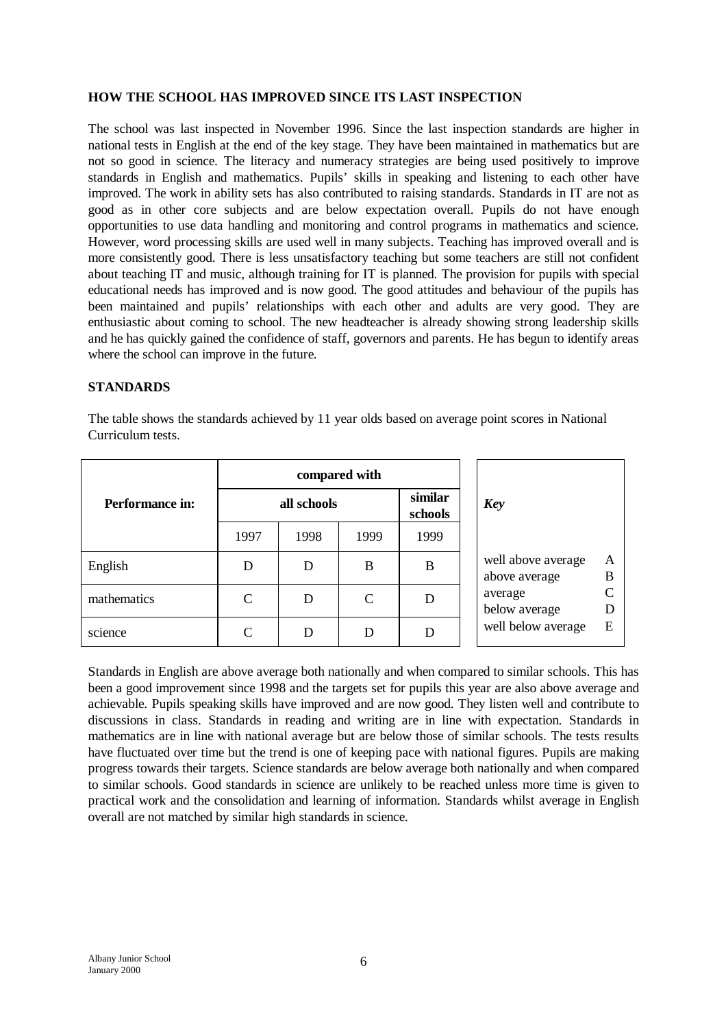## **HOW THE SCHOOL HAS IMPROVED SINCE ITS LAST INSPECTION**

The school was last inspected in November 1996. Since the last inspection standards are higher in national tests in English at the end of the key stage. They have been maintained in mathematics but are not so good in science. The literacy and numeracy strategies are being used positively to improve standards in English and mathematics. Pupils' skills in speaking and listening to each other have improved. The work in ability sets has also contributed to raising standards. Standards in IT are not as good as in other core subjects and are below expectation overall. Pupils do not have enough opportunities to use data handling and monitoring and control programs in mathematics and science. However, word processing skills are used well in many subjects. Teaching has improved overall and is more consistently good. There is less unsatisfactory teaching but some teachers are still not confident about teaching IT and music, although training for IT is planned. The provision for pupils with special educational needs has improved and is now good. The good attitudes and behaviour of the pupils has been maintained and pupils' relationships with each other and adults are very good. They are enthusiastic about coming to school. The new headteacher is already showing strong leadership skills and he has quickly gained the confidence of staff, governors and parents. He has begun to identify areas where the school can improve in the future.

## **STANDARDS**

The table shows the standards achieved by 11 year olds based on average point scores in National Curriculum tests.

|                        |             |      | compared with |                    |                                     |        |
|------------------------|-------------|------|---------------|--------------------|-------------------------------------|--------|
| <b>Performance in:</b> | all schools |      |               | similar<br>schools | Key                                 |        |
|                        | 1997        | 1998 | 1999          | 1999               |                                     |        |
| English                | D           | D    | B             | B                  | well above average<br>above average | Α<br>B |
| mathematics            | C           | D    | $\mathcal{C}$ | D                  | average<br>below average            |        |
| science                | C           | D    |               |                    | well below average                  | E      |

Standards in English are above average both nationally and when compared to similar schools. This has been a good improvement since 1998 and the targets set for pupils this year are also above average and achievable. Pupils speaking skills have improved and are now good. They listen well and contribute to discussions in class. Standards in reading and writing are in line with expectation. Standards in mathematics are in line with national average but are below those of similar schools. The tests results have fluctuated over time but the trend is one of keeping pace with national figures. Pupils are making progress towards their targets. Science standards are below average both nationally and when compared to similar schools. Good standards in science are unlikely to be reached unless more time is given to practical work and the consolidation and learning of information. Standards whilst average in English overall are not matched by similar high standards in science.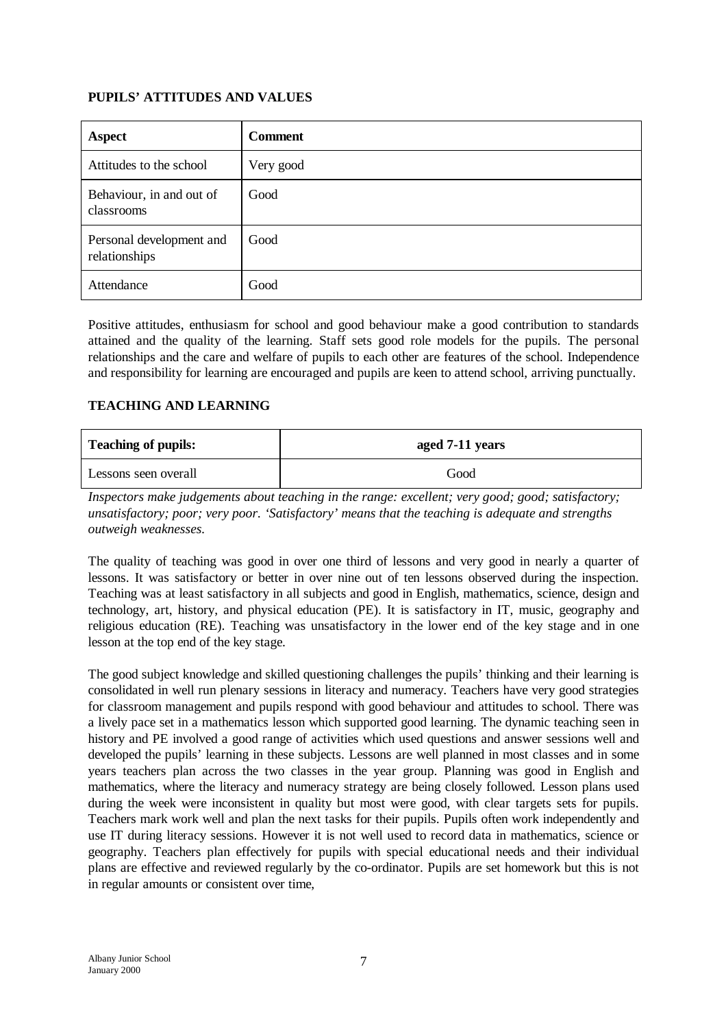## **PUPILS' ATTITUDES AND VALUES**

| <b>Aspect</b>                             | <b>Comment</b> |
|-------------------------------------------|----------------|
| Attitudes to the school                   | Very good      |
| Behaviour, in and out of<br>classrooms    | Good           |
| Personal development and<br>relationships | Good           |
| Attendance                                | Good           |

Positive attitudes, enthusiasm for school and good behaviour make a good contribution to standards attained and the quality of the learning. Staff sets good role models for the pupils. The personal relationships and the care and welfare of pupils to each other are features of the school. Independence and responsibility for learning are encouraged and pupils are keen to attend school, arriving punctually.

## **TEACHING AND LEARNING**

| <b>Teaching of pupils:</b> | aged 7-11 years |
|----------------------------|-----------------|
| Lessons seen overall       | Good            |

*Inspectors make judgements about teaching in the range: excellent; very good; good; satisfactory; unsatisfactory; poor; very poor. 'Satisfactory' means that the teaching is adequate and strengths outweigh weaknesses.*

The quality of teaching was good in over one third of lessons and very good in nearly a quarter of lessons. It was satisfactory or better in over nine out of ten lessons observed during the inspection. Teaching was at least satisfactory in all subjects and good in English, mathematics, science, design and technology, art, history, and physical education (PE). It is satisfactory in IT, music, geography and religious education (RE). Teaching was unsatisfactory in the lower end of the key stage and in one lesson at the top end of the key stage.

The good subject knowledge and skilled questioning challenges the pupils' thinking and their learning is consolidated in well run plenary sessions in literacy and numeracy. Teachers have very good strategies for classroom management and pupils respond with good behaviour and attitudes to school. There was a lively pace set in a mathematics lesson which supported good learning. The dynamic teaching seen in history and PE involved a good range of activities which used questions and answer sessions well and developed the pupils' learning in these subjects. Lessons are well planned in most classes and in some years teachers plan across the two classes in the year group. Planning was good in English and mathematics, where the literacy and numeracy strategy are being closely followed. Lesson plans used during the week were inconsistent in quality but most were good, with clear targets sets for pupils. Teachers mark work well and plan the next tasks for their pupils. Pupils often work independently and use IT during literacy sessions. However it is not well used to record data in mathematics, science or geography. Teachers plan effectively for pupils with special educational needs and their individual plans are effective and reviewed regularly by the co-ordinator. Pupils are set homework but this is not in regular amounts or consistent over time,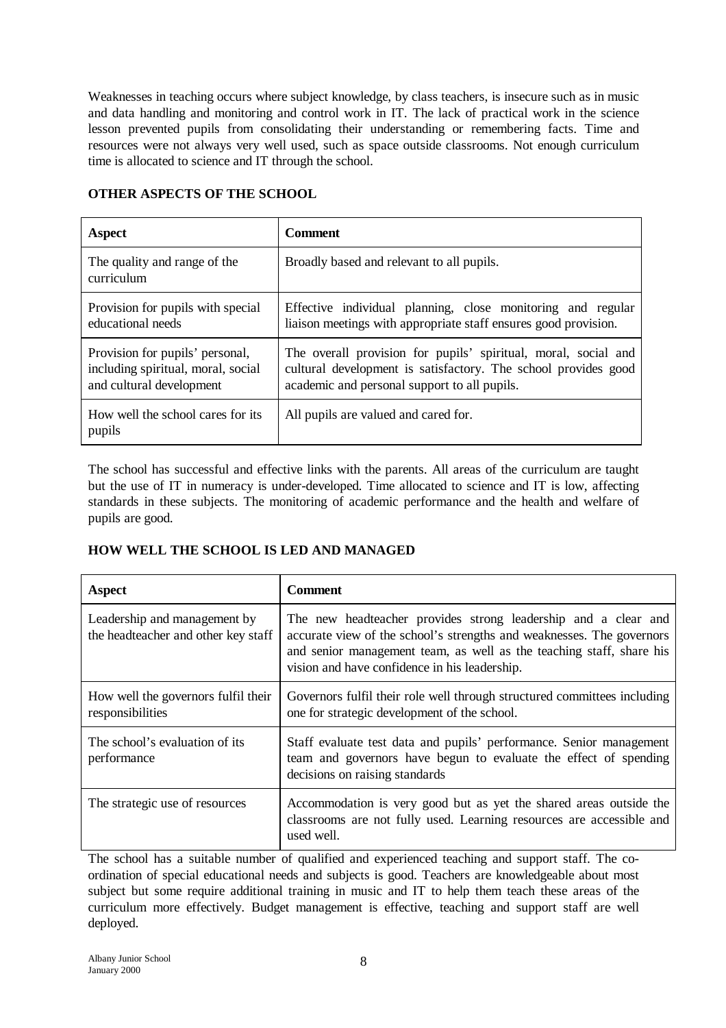Weaknesses in teaching occurs where subject knowledge, by class teachers, is insecure such as in music and data handling and monitoring and control work in IT. The lack of practical work in the science lesson prevented pupils from consolidating their understanding or remembering facts. Time and resources were not always very well used, such as space outside classrooms. Not enough curriculum time is allocated to science and IT through the school.

| <b>Aspect</b>                                                                                     | <b>Comment</b>                                                                                                                                                                   |
|---------------------------------------------------------------------------------------------------|----------------------------------------------------------------------------------------------------------------------------------------------------------------------------------|
| The quality and range of the<br>curriculum                                                        | Broadly based and relevant to all pupils.                                                                                                                                        |
| Provision for pupils with special<br>educational needs                                            | Effective individual planning, close monitoring and regular<br>liaison meetings with appropriate staff ensures good provision.                                                   |
| Provision for pupils' personal,<br>including spiritual, moral, social<br>and cultural development | The overall provision for pupils' spiritual, moral, social and<br>cultural development is satisfactory. The school provides good<br>academic and personal support to all pupils. |
| How well the school cares for its<br>pupils                                                       | All pupils are valued and cared for.                                                                                                                                             |

#### **OTHER ASPECTS OF THE SCHOOL**

The school has successful and effective links with the parents. All areas of the curriculum are taught but the use of IT in numeracy is under-developed. Time allocated to science and IT is low, affecting standards in these subjects. The monitoring of academic performance and the health and welfare of pupils are good.

## **HOW WELL THE SCHOOL IS LED AND MANAGED**

| <b>Aspect</b>                                                       | <b>Comment</b>                                                                                                                                                                                                                                                   |
|---------------------------------------------------------------------|------------------------------------------------------------------------------------------------------------------------------------------------------------------------------------------------------------------------------------------------------------------|
| Leadership and management by<br>the headteacher and other key staff | The new headteacher provides strong leadership and a clear and<br>accurate view of the school's strengths and weaknesses. The governors<br>and senior management team, as well as the teaching staff, share his<br>vision and have confidence in his leadership. |
| How well the governors fulfil their<br>responsibilities             | Governors fulfil their role well through structured committees including<br>one for strategic development of the school.                                                                                                                                         |
| The school's evaluation of its<br>performance                       | Staff evaluate test data and pupils' performance. Senior management<br>team and governors have begun to evaluate the effect of spending<br>decisions on raising standards                                                                                        |
| The strategic use of resources                                      | Accommodation is very good but as yet the shared areas outside the<br>classrooms are not fully used. Learning resources are accessible and<br>used well.                                                                                                         |

The school has a suitable number of qualified and experienced teaching and support staff. The coordination of special educational needs and subjects is good. Teachers are knowledgeable about most subject but some require additional training in music and IT to help them teach these areas of the curriculum more effectively. Budget management is effective, teaching and support staff are well deployed.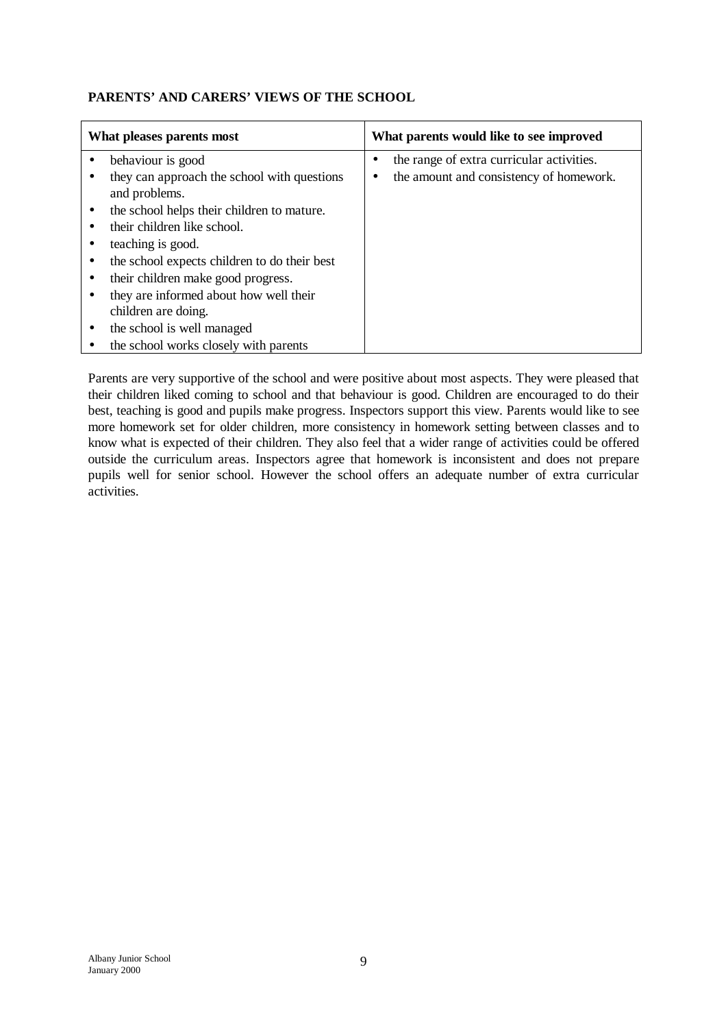# **PARENTS' AND CARERS' VIEWS OF THE SCHOOL**

| What pleases parents most                                    | What parents would like to see improved   |
|--------------------------------------------------------------|-------------------------------------------|
| behaviour is good                                            | the range of extra curricular activities. |
| they can approach the school with questions<br>and problems. | the amount and consistency of homework.   |
| the school helps their children to mature.                   |                                           |
| their children like school.                                  |                                           |
| teaching is good.                                            |                                           |
| the school expects children to do their best                 |                                           |
| their children make good progress.                           |                                           |
| they are informed about how well their                       |                                           |
| children are doing.                                          |                                           |
| the school is well managed                                   |                                           |
| the school works closely with parents                        |                                           |

Parents are very supportive of the school and were positive about most aspects. They were pleased that their children liked coming to school and that behaviour is good. Children are encouraged to do their best, teaching is good and pupils make progress. Inspectors support this view. Parents would like to see more homework set for older children, more consistency in homework setting between classes and to know what is expected of their children. They also feel that a wider range of activities could be offered outside the curriculum areas. Inspectors agree that homework is inconsistent and does not prepare pupils well for senior school. However the school offers an adequate number of extra curricular activities.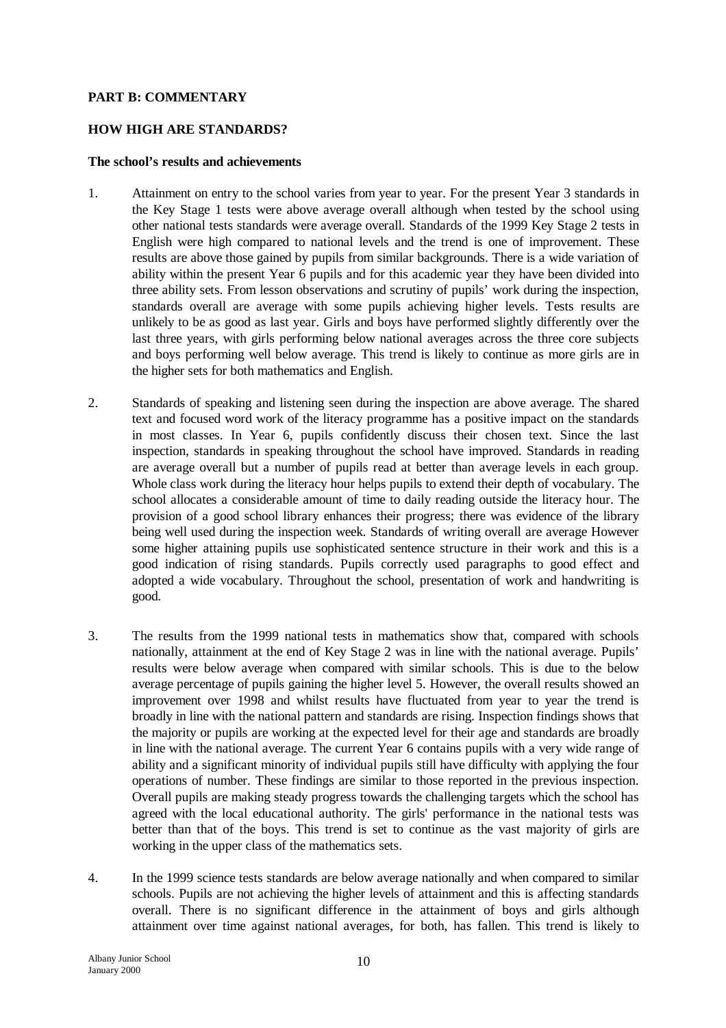#### **PART B: COMMENTARY**

#### **HOW HIGH ARE STANDARDS?**

#### **The school's results and achievements**

- 1. Attainment on entry to the school varies from year to year. For the present Year 3 standards in the Key Stage 1 tests were above average overall although when tested by the school using other national tests standards were average overall. Standards of the 1999 Key Stage 2 tests in English were high compared to national levels and the trend is one of improvement. These results are above those gained by pupils from similar backgrounds. There is a wide variation of ability within the present Year 6 pupils and for this academic year they have been divided into three ability sets. From lesson observations and scrutiny of pupils' work during the inspection, standards overall are average with some pupils achieving higher levels. Tests results are unlikely to be as good as last year. Girls and boys have performed slightly differently over the last three years, with girls performing below national averages across the three core subjects and boys performing well below average. This trend is likely to continue as more girls are in the higher sets for both mathematics and English.
- 2. Standards of speaking and listening seen during the inspection are above average. The shared text and focused word work of the literacy programme has a positive impact on the standards in most classes. In Year 6, pupils confidently discuss their chosen text. Since the last inspection, standards in speaking throughout the school have improved. Standards in reading are average overall but a number of pupils read at better than average levels in each group. Whole class work during the literacy hour helps pupils to extend their depth of vocabulary. The school allocates a considerable amount of time to daily reading outside the literacy hour. The provision of a good school library enhances their progress; there was evidence of the library being well used during the inspection week. Standards of writing overall are average However some higher attaining pupils use sophisticated sentence structure in their work and this is a good indication of rising standards. Pupils correctly used paragraphs to good effect and adopted a wide vocabulary. Throughout the school, presentation of work and handwriting is good.
- 3. The results from the 1999 national tests in mathematics show that, compared with schools nationally, attainment at the end of Key Stage 2 was in line with the national average. Pupils' results were below average when compared with similar schools. This is due to the below average percentage of pupils gaining the higher level 5. However, the overall results showed an improvement over 1998 and whilst results have fluctuated from year to year the trend is broadly in line with the national pattern and standards are rising. Inspection findings shows that the majority or pupils are working at the expected level for their age and standards are broadly in line with the national average. The current Year 6 contains pupils with a very wide range of ability and a significant minority of individual pupils still have difficulty with applying the four operations of number. These findings are similar to those reported in the previous inspection. Overall pupils are making steady progress towards the challenging targets which the school has agreed with the local educational authority. The girls' performance in the national tests was better than that of the boys. This trend is set to continue as the vast majority of girls are working in the upper class of the mathematics sets.
- 4. In the 1999 science tests standards are below average nationally and when compared to similar schools. Pupils are not achieving the higher levels of attainment and this is affecting standards overall. There is no significant difference in the attainment of boys and girls although attainment over time against national averages, for both, has fallen. This trend is likely to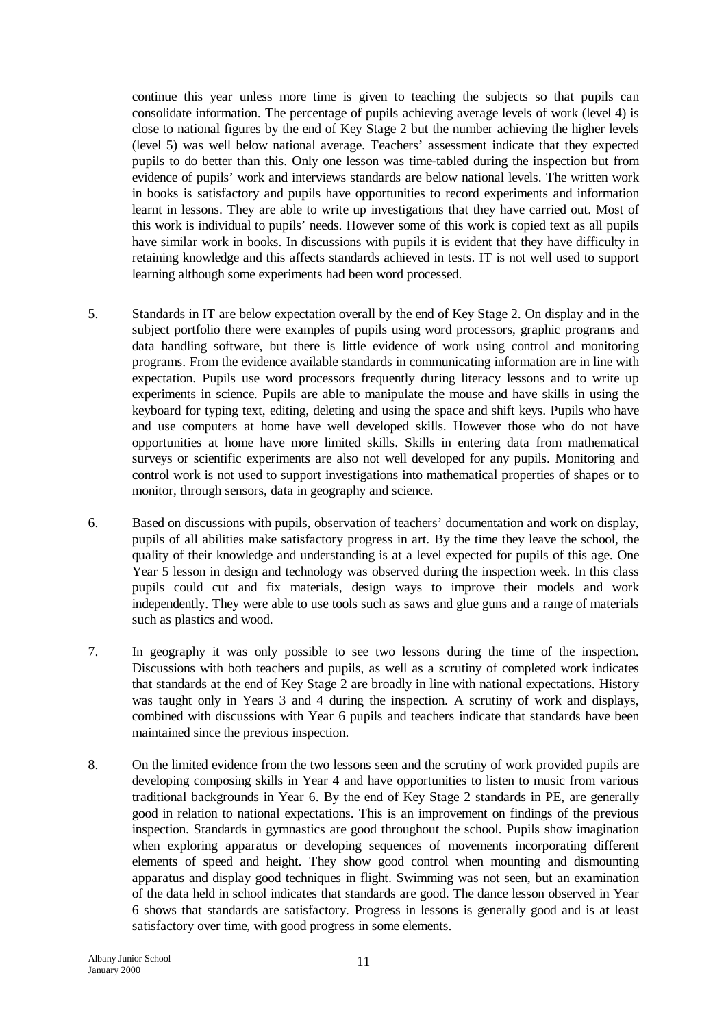continue this year unless more time is given to teaching the subjects so that pupils can consolidate information. The percentage of pupils achieving average levels of work (level 4) is close to national figures by the end of Key Stage 2 but the number achieving the higher levels (level 5) was well below national average. Teachers' assessment indicate that they expected pupils to do better than this. Only one lesson was time-tabled during the inspection but from evidence of pupils' work and interviews standards are below national levels. The written work in books is satisfactory and pupils have opportunities to record experiments and information learnt in lessons. They are able to write up investigations that they have carried out. Most of this work is individual to pupils' needs. However some of this work is copied text as all pupils have similar work in books. In discussions with pupils it is evident that they have difficulty in retaining knowledge and this affects standards achieved in tests. IT is not well used to support learning although some experiments had been word processed.

- 5. Standards in IT are below expectation overall by the end of Key Stage 2. On display and in the subject portfolio there were examples of pupils using word processors, graphic programs and data handling software, but there is little evidence of work using control and monitoring programs. From the evidence available standards in communicating information are in line with expectation. Pupils use word processors frequently during literacy lessons and to write up experiments in science. Pupils are able to manipulate the mouse and have skills in using the keyboard for typing text, editing, deleting and using the space and shift keys. Pupils who have and use computers at home have well developed skills. However those who do not have opportunities at home have more limited skills. Skills in entering data from mathematical surveys or scientific experiments are also not well developed for any pupils. Monitoring and control work is not used to support investigations into mathematical properties of shapes or to monitor, through sensors, data in geography and science.
- 6. Based on discussions with pupils, observation of teachers' documentation and work on display, pupils of all abilities make satisfactory progress in art. By the time they leave the school, the quality of their knowledge and understanding is at a level expected for pupils of this age. One Year 5 lesson in design and technology was observed during the inspection week. In this class pupils could cut and fix materials, design ways to improve their models and work independently. They were able to use tools such as saws and glue guns and a range of materials such as plastics and wood.
- 7. In geography it was only possible to see two lessons during the time of the inspection. Discussions with both teachers and pupils, as well as a scrutiny of completed work indicates that standards at the end of Key Stage 2 are broadly in line with national expectations. History was taught only in Years 3 and 4 during the inspection. A scrutiny of work and displays, combined with discussions with Year 6 pupils and teachers indicate that standards have been maintained since the previous inspection.
- 8. On the limited evidence from the two lessons seen and the scrutiny of work provided pupils are developing composing skills in Year 4 and have opportunities to listen to music from various traditional backgrounds in Year 6. By the end of Key Stage 2 standards in PE, are generally good in relation to national expectations. This is an improvement on findings of the previous inspection. Standards in gymnastics are good throughout the school. Pupils show imagination when exploring apparatus or developing sequences of movements incorporating different elements of speed and height. They show good control when mounting and dismounting apparatus and display good techniques in flight. Swimming was not seen, but an examination of the data held in school indicates that standards are good. The dance lesson observed in Year 6 shows that standards are satisfactory. Progress in lessons is generally good and is at least satisfactory over time, with good progress in some elements.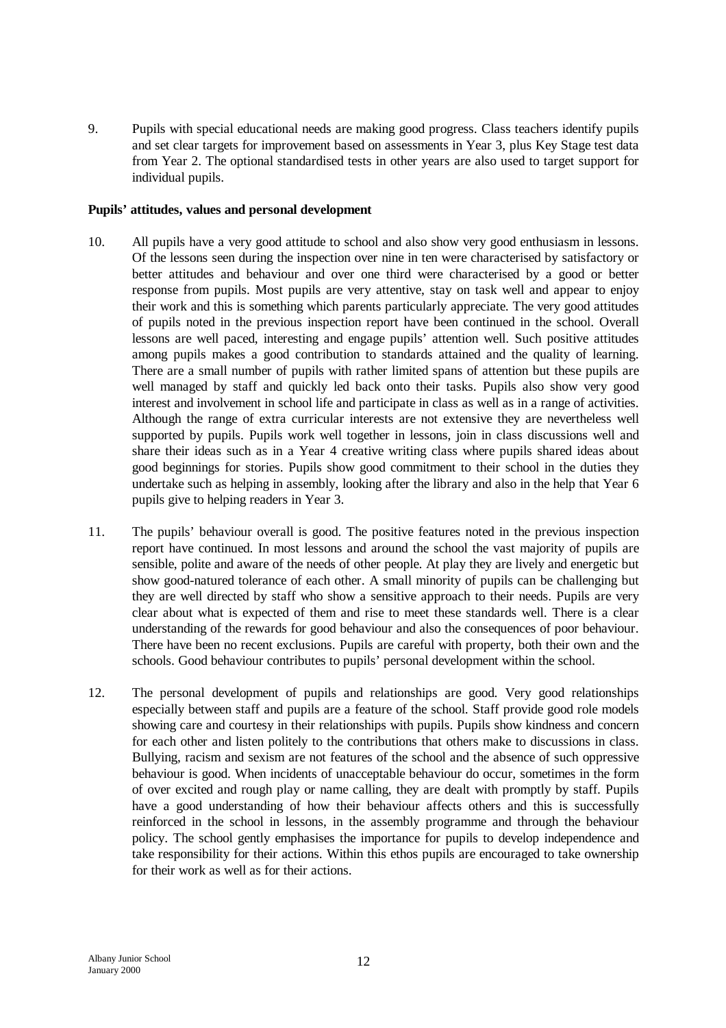9. Pupils with special educational needs are making good progress. Class teachers identify pupils and set clear targets for improvement based on assessments in Year 3, plus Key Stage test data from Year 2. The optional standardised tests in other years are also used to target support for individual pupils.

#### **Pupils' attitudes, values and personal development**

- 10. All pupils have a very good attitude to school and also show very good enthusiasm in lessons. Of the lessons seen during the inspection over nine in ten were characterised by satisfactory or better attitudes and behaviour and over one third were characterised by a good or better response from pupils. Most pupils are very attentive, stay on task well and appear to enjoy their work and this is something which parents particularly appreciate. The very good attitudes of pupils noted in the previous inspection report have been continued in the school. Overall lessons are well paced, interesting and engage pupils' attention well. Such positive attitudes among pupils makes a good contribution to standards attained and the quality of learning. There are a small number of pupils with rather limited spans of attention but these pupils are well managed by staff and quickly led back onto their tasks. Pupils also show very good interest and involvement in school life and participate in class as well as in a range of activities. Although the range of extra curricular interests are not extensive they are nevertheless well supported by pupils. Pupils work well together in lessons, join in class discussions well and share their ideas such as in a Year 4 creative writing class where pupils shared ideas about good beginnings for stories. Pupils show good commitment to their school in the duties they undertake such as helping in assembly, looking after the library and also in the help that Year 6 pupils give to helping readers in Year 3.
- 11. The pupils' behaviour overall is good. The positive features noted in the previous inspection report have continued. In most lessons and around the school the vast majority of pupils are sensible, polite and aware of the needs of other people. At play they are lively and energetic but show good-natured tolerance of each other. A small minority of pupils can be challenging but they are well directed by staff who show a sensitive approach to their needs. Pupils are very clear about what is expected of them and rise to meet these standards well. There is a clear understanding of the rewards for good behaviour and also the consequences of poor behaviour. There have been no recent exclusions. Pupils are careful with property, both their own and the schools. Good behaviour contributes to pupils' personal development within the school.
- 12. The personal development of pupils and relationships are good. Very good relationships especially between staff and pupils are a feature of the school. Staff provide good role models showing care and courtesy in their relationships with pupils. Pupils show kindness and concern for each other and listen politely to the contributions that others make to discussions in class. Bullying, racism and sexism are not features of the school and the absence of such oppressive behaviour is good. When incidents of unacceptable behaviour do occur, sometimes in the form of over excited and rough play or name calling, they are dealt with promptly by staff. Pupils have a good understanding of how their behaviour affects others and this is successfully reinforced in the school in lessons, in the assembly programme and through the behaviour policy. The school gently emphasises the importance for pupils to develop independence and take responsibility for their actions. Within this ethos pupils are encouraged to take ownership for their work as well as for their actions.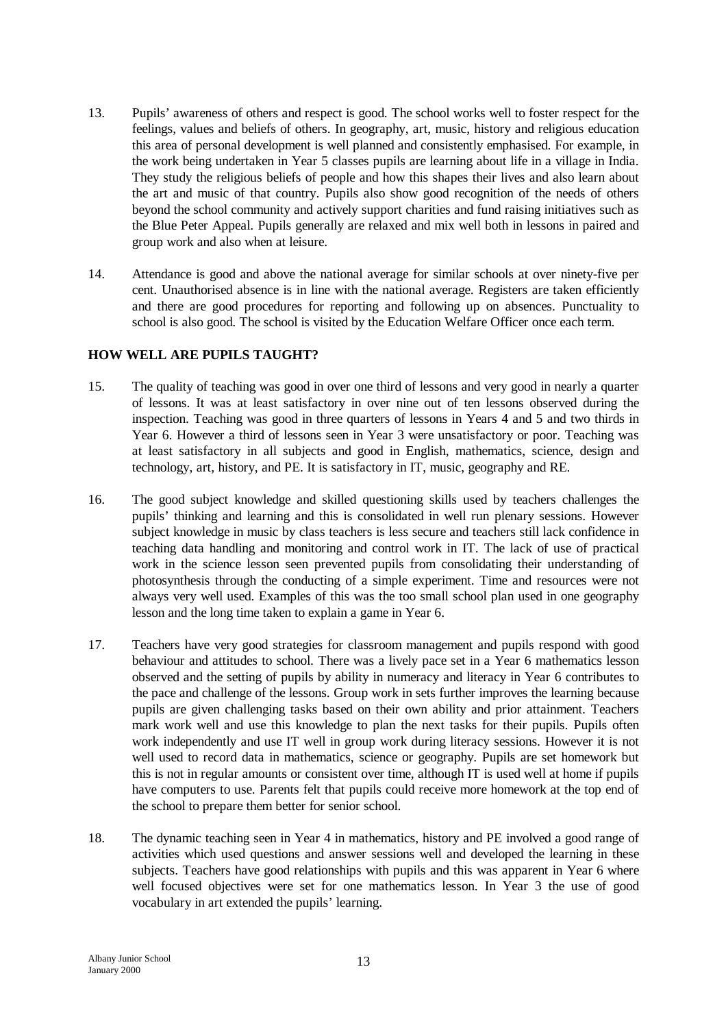- 13. Pupils' awareness of others and respect is good. The school works well to foster respect for the feelings, values and beliefs of others. In geography, art, music, history and religious education this area of personal development is well planned and consistently emphasised. For example, in the work being undertaken in Year 5 classes pupils are learning about life in a village in India. They study the religious beliefs of people and how this shapes their lives and also learn about the art and music of that country. Pupils also show good recognition of the needs of others beyond the school community and actively support charities and fund raising initiatives such as the Blue Peter Appeal. Pupils generally are relaxed and mix well both in lessons in paired and group work and also when at leisure.
- 14. Attendance is good and above the national average for similar schools at over ninety-five per cent. Unauthorised absence is in line with the national average. Registers are taken efficiently and there are good procedures for reporting and following up on absences. Punctuality to school is also good. The school is visited by the Education Welfare Officer once each term.

## **HOW WELL ARE PUPILS TAUGHT?**

- 15. The quality of teaching was good in over one third of lessons and very good in nearly a quarter of lessons. It was at least satisfactory in over nine out of ten lessons observed during the inspection. Teaching was good in three quarters of lessons in Years 4 and 5 and two thirds in Year 6. However a third of lessons seen in Year 3 were unsatisfactory or poor. Teaching was at least satisfactory in all subjects and good in English, mathematics, science, design and technology, art, history, and PE. It is satisfactory in IT, music, geography and RE.
- 16. The good subject knowledge and skilled questioning skills used by teachers challenges the pupils' thinking and learning and this is consolidated in well run plenary sessions. However subject knowledge in music by class teachers is less secure and teachers still lack confidence in teaching data handling and monitoring and control work in IT. The lack of use of practical work in the science lesson seen prevented pupils from consolidating their understanding of photosynthesis through the conducting of a simple experiment. Time and resources were not always very well used. Examples of this was the too small school plan used in one geography lesson and the long time taken to explain a game in Year 6.
- 17. Teachers have very good strategies for classroom management and pupils respond with good behaviour and attitudes to school. There was a lively pace set in a Year 6 mathematics lesson observed and the setting of pupils by ability in numeracy and literacy in Year 6 contributes to the pace and challenge of the lessons. Group work in sets further improves the learning because pupils are given challenging tasks based on their own ability and prior attainment. Teachers mark work well and use this knowledge to plan the next tasks for their pupils. Pupils often work independently and use IT well in group work during literacy sessions. However it is not well used to record data in mathematics, science or geography. Pupils are set homework but this is not in regular amounts or consistent over time, although IT is used well at home if pupils have computers to use. Parents felt that pupils could receive more homework at the top end of the school to prepare them better for senior school.
- 18. The dynamic teaching seen in Year 4 in mathematics, history and PE involved a good range of activities which used questions and answer sessions well and developed the learning in these subjects. Teachers have good relationships with pupils and this was apparent in Year 6 where well focused objectives were set for one mathematics lesson. In Year 3 the use of good vocabulary in art extended the pupils' learning.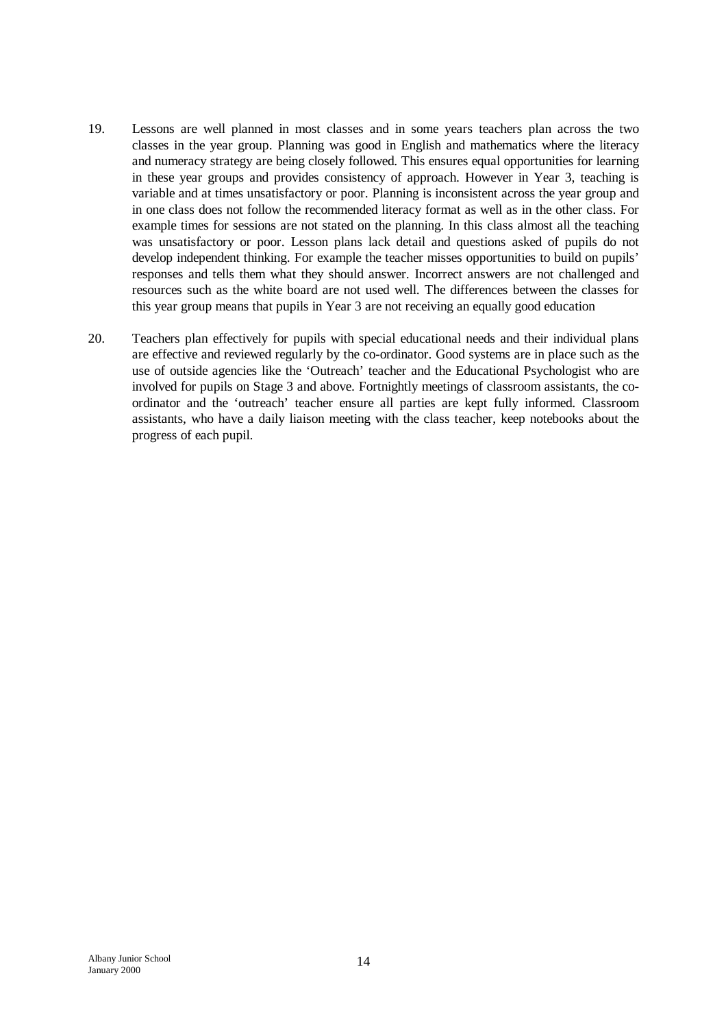- 19. Lessons are well planned in most classes and in some years teachers plan across the two classes in the year group. Planning was good in English and mathematics where the literacy and numeracy strategy are being closely followed. This ensures equal opportunities for learning in these year groups and provides consistency of approach. However in Year 3, teaching is variable and at times unsatisfactory or poor. Planning is inconsistent across the year group and in one class does not follow the recommended literacy format as well as in the other class. For example times for sessions are not stated on the planning. In this class almost all the teaching was unsatisfactory or poor. Lesson plans lack detail and questions asked of pupils do not develop independent thinking. For example the teacher misses opportunities to build on pupils' responses and tells them what they should answer. Incorrect answers are not challenged and resources such as the white board are not used well. The differences between the classes for this year group means that pupils in Year 3 are not receiving an equally good education
- 20. Teachers plan effectively for pupils with special educational needs and their individual plans are effective and reviewed regularly by the co-ordinator. Good systems are in place such as the use of outside agencies like the 'Outreach' teacher and the Educational Psychologist who are involved for pupils on Stage 3 and above. Fortnightly meetings of classroom assistants, the coordinator and the 'outreach' teacher ensure all parties are kept fully informed. Classroom assistants, who have a daily liaison meeting with the class teacher, keep notebooks about the progress of each pupil.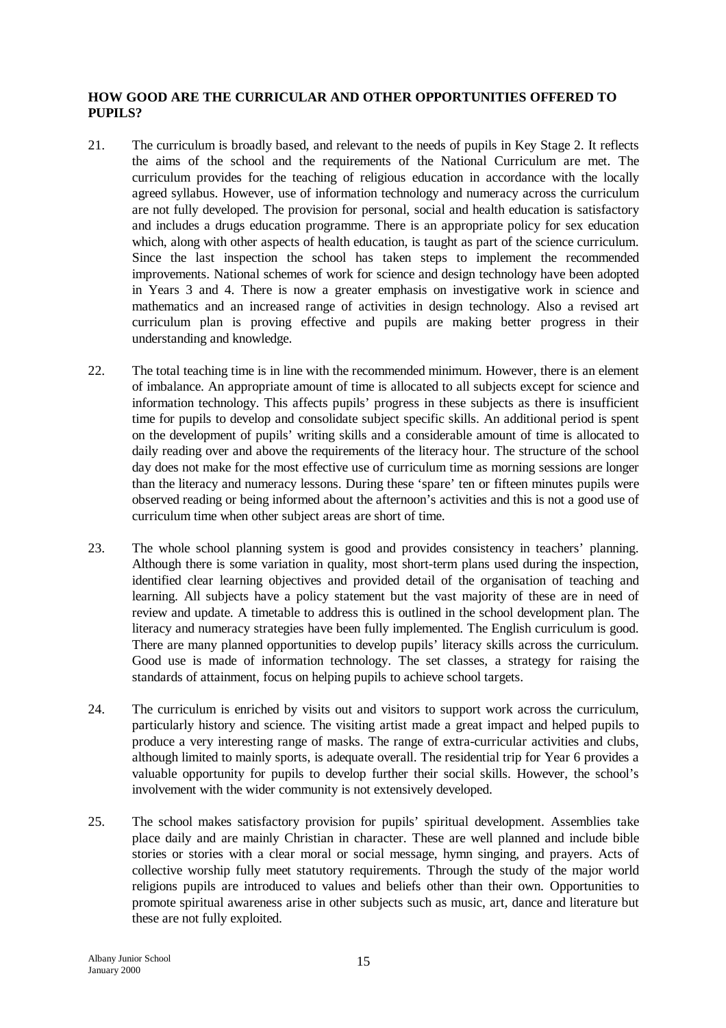## **HOW GOOD ARE THE CURRICULAR AND OTHER OPPORTUNITIES OFFERED TO PUPILS?**

- 21. The curriculum is broadly based, and relevant to the needs of pupils in Key Stage 2. It reflects the aims of the school and the requirements of the National Curriculum are met. The curriculum provides for the teaching of religious education in accordance with the locally agreed syllabus. However, use of information technology and numeracy across the curriculum are not fully developed. The provision for personal, social and health education is satisfactory and includes a drugs education programme. There is an appropriate policy for sex education which, along with other aspects of health education, is taught as part of the science curriculum. Since the last inspection the school has taken steps to implement the recommended improvements. National schemes of work for science and design technology have been adopted in Years 3 and 4. There is now a greater emphasis on investigative work in science and mathematics and an increased range of activities in design technology. Also a revised art curriculum plan is proving effective and pupils are making better progress in their understanding and knowledge.
- 22. The total teaching time is in line with the recommended minimum. However, there is an element of imbalance. An appropriate amount of time is allocated to all subjects except for science and information technology. This affects pupils' progress in these subjects as there is insufficient time for pupils to develop and consolidate subject specific skills. An additional period is spent on the development of pupils' writing skills and a considerable amount of time is allocated to daily reading over and above the requirements of the literacy hour. The structure of the school day does not make for the most effective use of curriculum time as morning sessions are longer than the literacy and numeracy lessons. During these 'spare' ten or fifteen minutes pupils were observed reading or being informed about the afternoon's activities and this is not a good use of curriculum time when other subject areas are short of time.
- 23. The whole school planning system is good and provides consistency in teachers' planning. Although there is some variation in quality, most short-term plans used during the inspection, identified clear learning objectives and provided detail of the organisation of teaching and learning. All subjects have a policy statement but the vast majority of these are in need of review and update. A timetable to address this is outlined in the school development plan. The literacy and numeracy strategies have been fully implemented. The English curriculum is good. There are many planned opportunities to develop pupils' literacy skills across the curriculum. Good use is made of information technology. The set classes, a strategy for raising the standards of attainment, focus on helping pupils to achieve school targets.
- 24. The curriculum is enriched by visits out and visitors to support work across the curriculum, particularly history and science. The visiting artist made a great impact and helped pupils to produce a very interesting range of masks. The range of extra-curricular activities and clubs, although limited to mainly sports, is adequate overall. The residential trip for Year 6 provides a valuable opportunity for pupils to develop further their social skills. However, the school's involvement with the wider community is not extensively developed.
- 25. The school makes satisfactory provision for pupils' spiritual development. Assemblies take place daily and are mainly Christian in character. These are well planned and include bible stories or stories with a clear moral or social message, hymn singing, and prayers. Acts of collective worship fully meet statutory requirements. Through the study of the major world religions pupils are introduced to values and beliefs other than their own. Opportunities to promote spiritual awareness arise in other subjects such as music, art, dance and literature but these are not fully exploited.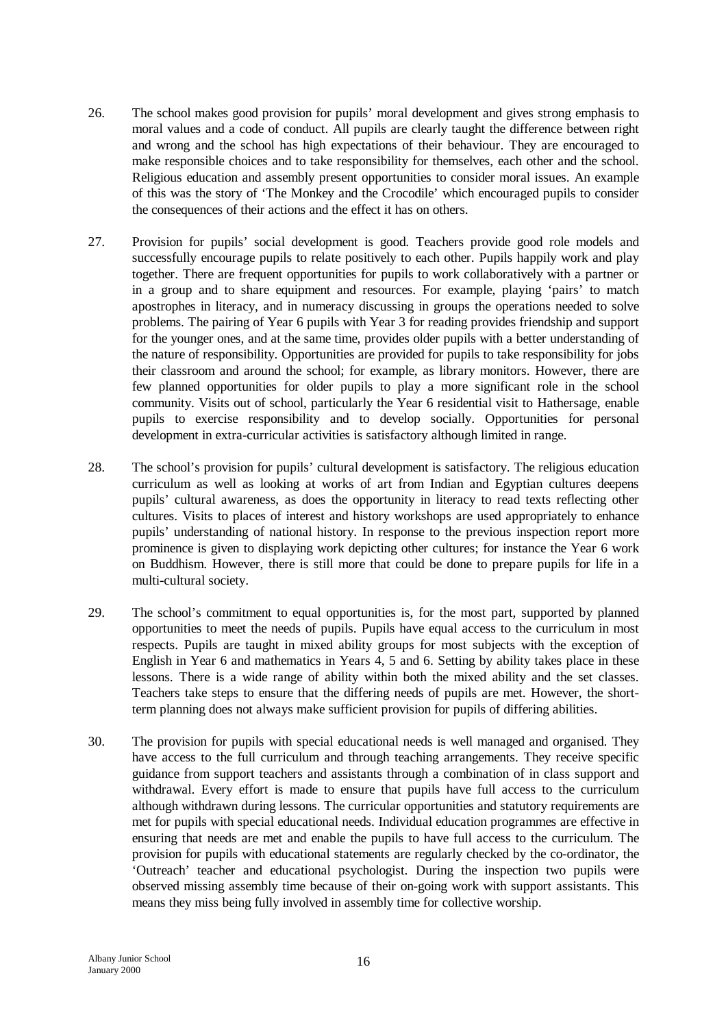- 26. The school makes good provision for pupils' moral development and gives strong emphasis to moral values and a code of conduct. All pupils are clearly taught the difference between right and wrong and the school has high expectations of their behaviour. They are encouraged to make responsible choices and to take responsibility for themselves, each other and the school. Religious education and assembly present opportunities to consider moral issues. An example of this was the story of 'The Monkey and the Crocodile' which encouraged pupils to consider the consequences of their actions and the effect it has on others.
- 27. Provision for pupils' social development is good. Teachers provide good role models and successfully encourage pupils to relate positively to each other. Pupils happily work and play together. There are frequent opportunities for pupils to work collaboratively with a partner or in a group and to share equipment and resources. For example, playing 'pairs' to match apostrophes in literacy, and in numeracy discussing in groups the operations needed to solve problems. The pairing of Year 6 pupils with Year 3 for reading provides friendship and support for the younger ones, and at the same time, provides older pupils with a better understanding of the nature of responsibility. Opportunities are provided for pupils to take responsibility for jobs their classroom and around the school; for example, as library monitors. However, there are few planned opportunities for older pupils to play a more significant role in the school community. Visits out of school, particularly the Year 6 residential visit to Hathersage, enable pupils to exercise responsibility and to develop socially. Opportunities for personal development in extra-curricular activities is satisfactory although limited in range.
- 28. The school's provision for pupils' cultural development is satisfactory. The religious education curriculum as well as looking at works of art from Indian and Egyptian cultures deepens pupils' cultural awareness, as does the opportunity in literacy to read texts reflecting other cultures. Visits to places of interest and history workshops are used appropriately to enhance pupils' understanding of national history. In response to the previous inspection report more prominence is given to displaying work depicting other cultures; for instance the Year 6 work on Buddhism. However, there is still more that could be done to prepare pupils for life in a multi-cultural society.
- 29. The school's commitment to equal opportunities is, for the most part, supported by planned opportunities to meet the needs of pupils. Pupils have equal access to the curriculum in most respects. Pupils are taught in mixed ability groups for most subjects with the exception of English in Year 6 and mathematics in Years 4, 5 and 6. Setting by ability takes place in these lessons. There is a wide range of ability within both the mixed ability and the set classes. Teachers take steps to ensure that the differing needs of pupils are met. However, the shortterm planning does not always make sufficient provision for pupils of differing abilities.
- 30. The provision for pupils with special educational needs is well managed and organised. They have access to the full curriculum and through teaching arrangements. They receive specific guidance from support teachers and assistants through a combination of in class support and withdrawal. Every effort is made to ensure that pupils have full access to the curriculum although withdrawn during lessons. The curricular opportunities and statutory requirements are met for pupils with special educational needs. Individual education programmes are effective in ensuring that needs are met and enable the pupils to have full access to the curriculum. The provision for pupils with educational statements are regularly checked by the co-ordinator, the 'Outreach' teacher and educational psychologist. During the inspection two pupils were observed missing assembly time because of their on-going work with support assistants. This means they miss being fully involved in assembly time for collective worship.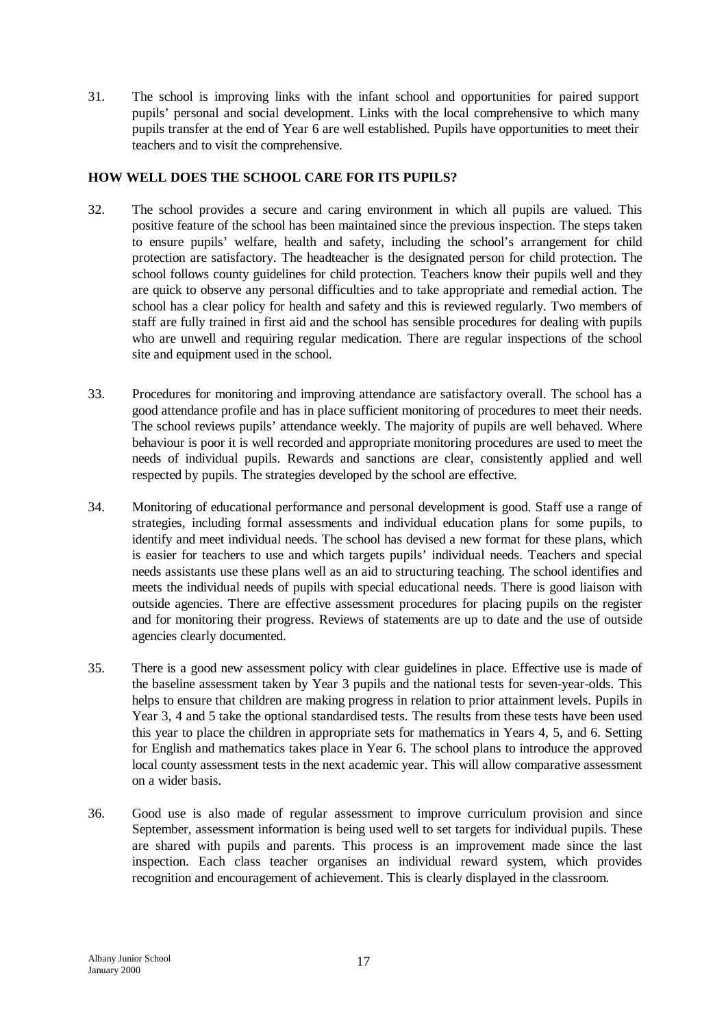31. The school is improving links with the infant school and opportunities for paired support pupils' personal and social development. Links with the local comprehensive to which many pupils transfer at the end of Year 6 are well established. Pupils have opportunities to meet their teachers and to visit the comprehensive.

## **HOW WELL DOES THE SCHOOL CARE FOR ITS PUPILS?**

- 32. The school provides a secure and caring environment in which all pupils are valued. This positive feature of the school has been maintained since the previous inspection. The steps taken to ensure pupils' welfare, health and safety, including the school's arrangement for child protection are satisfactory. The headteacher is the designated person for child protection. The school follows county guidelines for child protection. Teachers know their pupils well and they are quick to observe any personal difficulties and to take appropriate and remedial action. The school has a clear policy for health and safety and this is reviewed regularly. Two members of staff are fully trained in first aid and the school has sensible procedures for dealing with pupils who are unwell and requiring regular medication. There are regular inspections of the school site and equipment used in the school.
- 33. Procedures for monitoring and improving attendance are satisfactory overall. The school has a good attendance profile and has in place sufficient monitoring of procedures to meet their needs. The school reviews pupils' attendance weekly. The majority of pupils are well behaved. Where behaviour is poor it is well recorded and appropriate monitoring procedures are used to meet the needs of individual pupils. Rewards and sanctions are clear, consistently applied and well respected by pupils. The strategies developed by the school are effective.
- 34. Monitoring of educational performance and personal development is good. Staff use a range of strategies, including formal assessments and individual education plans for some pupils, to identify and meet individual needs. The school has devised a new format for these plans, which is easier for teachers to use and which targets pupils' individual needs. Teachers and special needs assistants use these plans well as an aid to structuring teaching. The school identifies and meets the individual needs of pupils with special educational needs. There is good liaison with outside agencies. There are effective assessment procedures for placing pupils on the register and for monitoring their progress. Reviews of statements are up to date and the use of outside agencies clearly documented.
- 35. There is a good new assessment policy with clear guidelines in place. Effective use is made of the baseline assessment taken by Year 3 pupils and the national tests for seven-year-olds. This helps to ensure that children are making progress in relation to prior attainment levels. Pupils in Year 3, 4 and 5 take the optional standardised tests. The results from these tests have been used this year to place the children in appropriate sets for mathematics in Years 4, 5, and 6. Setting for English and mathematics takes place in Year 6. The school plans to introduce the approved local county assessment tests in the next academic year. This will allow comparative assessment on a wider basis.
- 36. Good use is also made of regular assessment to improve curriculum provision and since September, assessment information is being used well to set targets for individual pupils. These are shared with pupils and parents. This process is an improvement made since the last inspection. Each class teacher organises an individual reward system, which provides recognition and encouragement of achievement. This is clearly displayed in the classroom.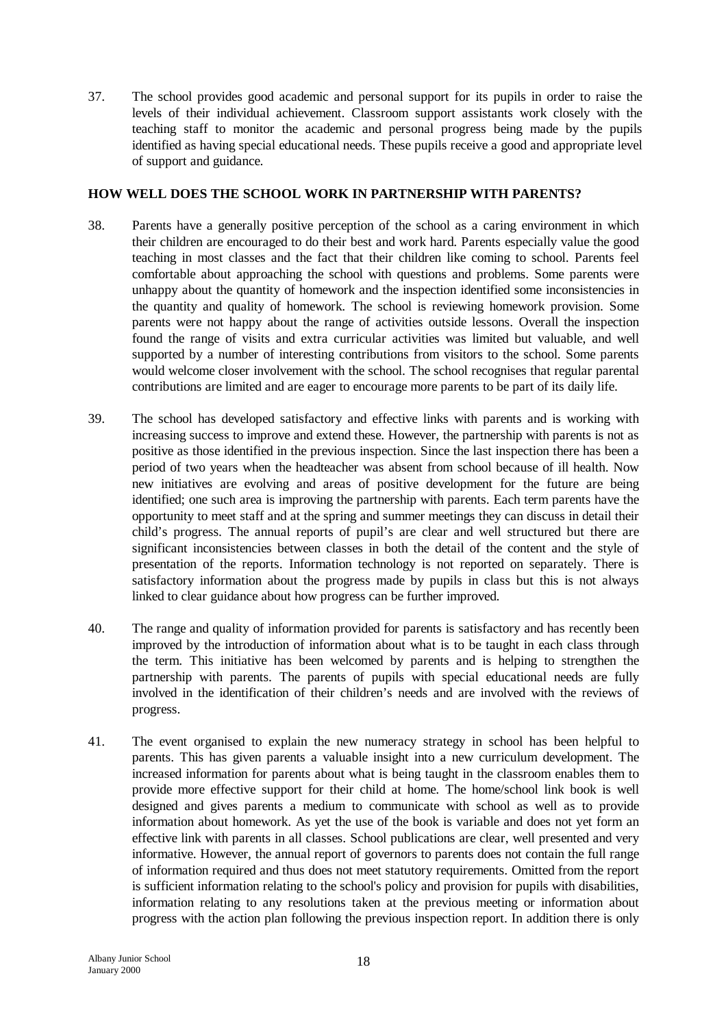37. The school provides good academic and personal support for its pupils in order to raise the levels of their individual achievement. Classroom support assistants work closely with the teaching staff to monitor the academic and personal progress being made by the pupils identified as having special educational needs. These pupils receive a good and appropriate level of support and guidance.

## **HOW WELL DOES THE SCHOOL WORK IN PARTNERSHIP WITH PARENTS?**

- 38. Parents have a generally positive perception of the school as a caring environment in which their children are encouraged to do their best and work hard. Parents especially value the good teaching in most classes and the fact that their children like coming to school. Parents feel comfortable about approaching the school with questions and problems. Some parents were unhappy about the quantity of homework and the inspection identified some inconsistencies in the quantity and quality of homework. The school is reviewing homework provision. Some parents were not happy about the range of activities outside lessons. Overall the inspection found the range of visits and extra curricular activities was limited but valuable, and well supported by a number of interesting contributions from visitors to the school. Some parents would welcome closer involvement with the school. The school recognises that regular parental contributions are limited and are eager to encourage more parents to be part of its daily life.
- 39. The school has developed satisfactory and effective links with parents and is working with increasing success to improve and extend these. However, the partnership with parents is not as positive as those identified in the previous inspection. Since the last inspection there has been a period of two years when the headteacher was absent from school because of ill health. Now new initiatives are evolving and areas of positive development for the future are being identified; one such area is improving the partnership with parents. Each term parents have the opportunity to meet staff and at the spring and summer meetings they can discuss in detail their child's progress. The annual reports of pupil's are clear and well structured but there are significant inconsistencies between classes in both the detail of the content and the style of presentation of the reports. Information technology is not reported on separately. There is satisfactory information about the progress made by pupils in class but this is not always linked to clear guidance about how progress can be further improved.
- 40. The range and quality of information provided for parents is satisfactory and has recently been improved by the introduction of information about what is to be taught in each class through the term. This initiative has been welcomed by parents and is helping to strengthen the partnership with parents. The parents of pupils with special educational needs are fully involved in the identification of their children's needs and are involved with the reviews of progress.
- 41. The event organised to explain the new numeracy strategy in school has been helpful to parents. This has given parents a valuable insight into a new curriculum development. The increased information for parents about what is being taught in the classroom enables them to provide more effective support for their child at home. The home/school link book is well designed and gives parents a medium to communicate with school as well as to provide information about homework. As yet the use of the book is variable and does not yet form an effective link with parents in all classes. School publications are clear, well presented and very informative. However, the annual report of governors to parents does not contain the full range of information required and thus does not meet statutory requirements. Omitted from the report is sufficient information relating to the school's policy and provision for pupils with disabilities, information relating to any resolutions taken at the previous meeting or information about progress with the action plan following the previous inspection report. In addition there is only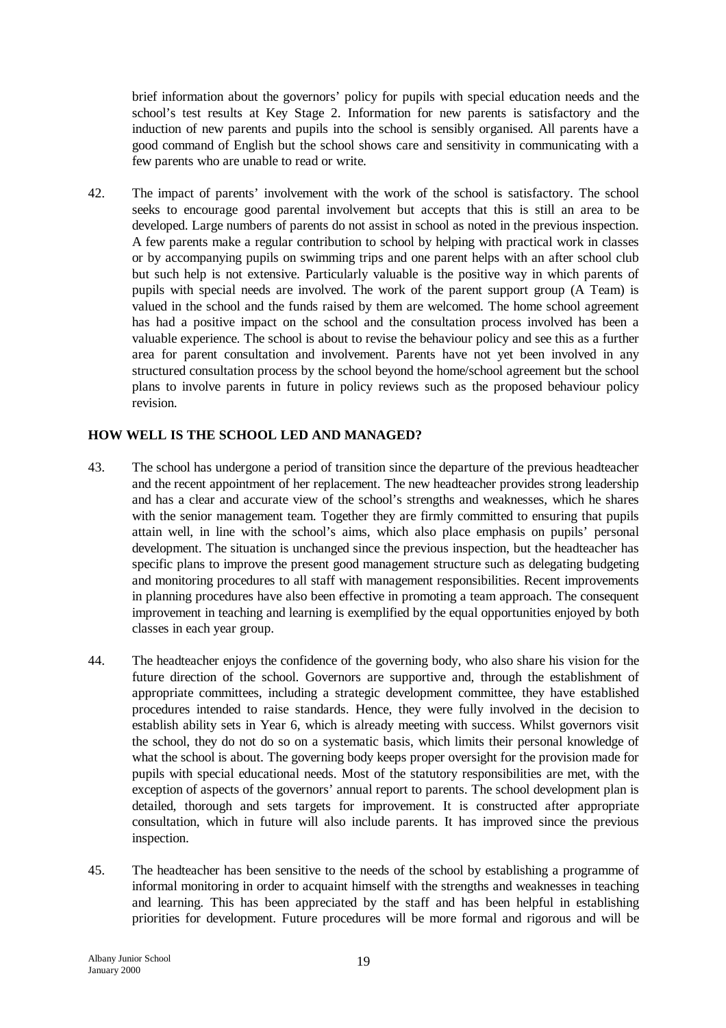brief information about the governors' policy for pupils with special education needs and the school's test results at Key Stage 2. Information for new parents is satisfactory and the induction of new parents and pupils into the school is sensibly organised. All parents have a good command of English but the school shows care and sensitivity in communicating with a few parents who are unable to read or write.

42. The impact of parents' involvement with the work of the school is satisfactory. The school seeks to encourage good parental involvement but accepts that this is still an area to be developed. Large numbers of parents do not assist in school as noted in the previous inspection. A few parents make a regular contribution to school by helping with practical work in classes or by accompanying pupils on swimming trips and one parent helps with an after school club but such help is not extensive. Particularly valuable is the positive way in which parents of pupils with special needs are involved. The work of the parent support group (A Team) is valued in the school and the funds raised by them are welcomed. The home school agreement has had a positive impact on the school and the consultation process involved has been a valuable experience. The school is about to revise the behaviour policy and see this as a further area for parent consultation and involvement. Parents have not yet been involved in any structured consultation process by the school beyond the home/school agreement but the school plans to involve parents in future in policy reviews such as the proposed behaviour policy revision.

## **HOW WELL IS THE SCHOOL LED AND MANAGED?**

- 43. The school has undergone a period of transition since the departure of the previous headteacher and the recent appointment of her replacement. The new headteacher provides strong leadership and has a clear and accurate view of the school's strengths and weaknesses, which he shares with the senior management team. Together they are firmly committed to ensuring that pupils attain well, in line with the school's aims, which also place emphasis on pupils' personal development. The situation is unchanged since the previous inspection, but the headteacher has specific plans to improve the present good management structure such as delegating budgeting and monitoring procedures to all staff with management responsibilities. Recent improvements in planning procedures have also been effective in promoting a team approach. The consequent improvement in teaching and learning is exemplified by the equal opportunities enjoyed by both classes in each year group.
- 44. The headteacher enjoys the confidence of the governing body, who also share his vision for the future direction of the school. Governors are supportive and, through the establishment of appropriate committees, including a strategic development committee, they have established procedures intended to raise standards. Hence, they were fully involved in the decision to establish ability sets in Year 6, which is already meeting with success. Whilst governors visit the school, they do not do so on a systematic basis, which limits their personal knowledge of what the school is about. The governing body keeps proper oversight for the provision made for pupils with special educational needs. Most of the statutory responsibilities are met, with the exception of aspects of the governors' annual report to parents. The school development plan is detailed, thorough and sets targets for improvement. It is constructed after appropriate consultation, which in future will also include parents. It has improved since the previous inspection.
- 45. The headteacher has been sensitive to the needs of the school by establishing a programme of informal monitoring in order to acquaint himself with the strengths and weaknesses in teaching and learning. This has been appreciated by the staff and has been helpful in establishing priorities for development. Future procedures will be more formal and rigorous and will be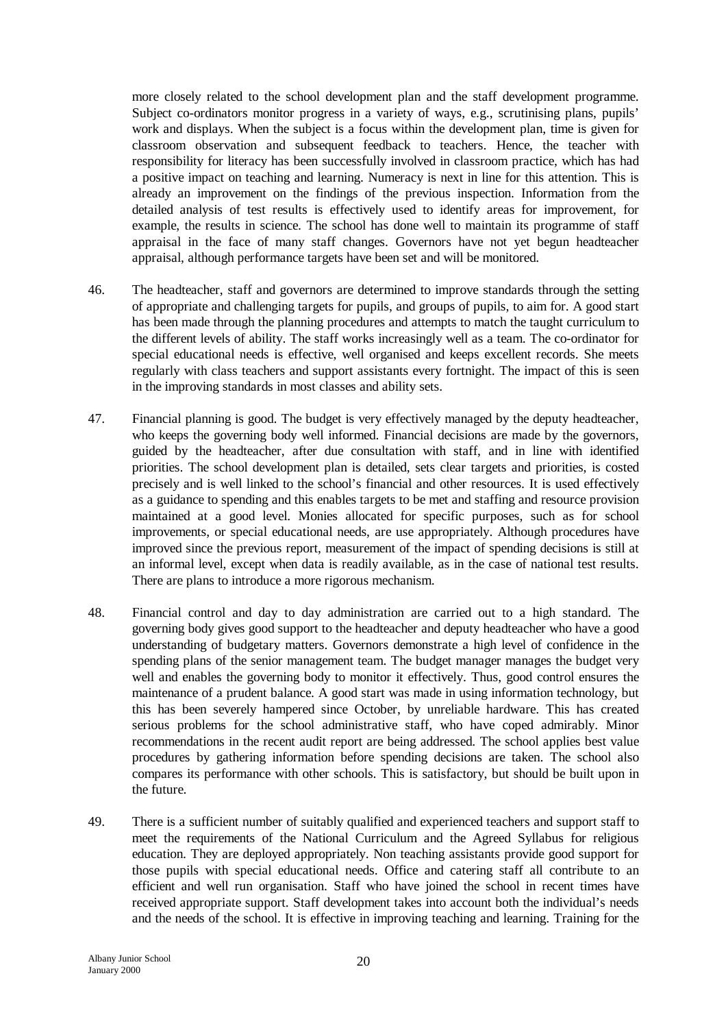more closely related to the school development plan and the staff development programme. Subject co-ordinators monitor progress in a variety of ways, e.g., scrutinising plans, pupils' work and displays. When the subject is a focus within the development plan, time is given for classroom observation and subsequent feedback to teachers. Hence, the teacher with responsibility for literacy has been successfully involved in classroom practice, which has had a positive impact on teaching and learning. Numeracy is next in line for this attention. This is already an improvement on the findings of the previous inspection. Information from the detailed analysis of test results is effectively used to identify areas for improvement, for example, the results in science. The school has done well to maintain its programme of staff appraisal in the face of many staff changes. Governors have not yet begun headteacher appraisal, although performance targets have been set and will be monitored.

- 46. The headteacher, staff and governors are determined to improve standards through the setting of appropriate and challenging targets for pupils, and groups of pupils, to aim for. A good start has been made through the planning procedures and attempts to match the taught curriculum to the different levels of ability. The staff works increasingly well as a team. The co-ordinator for special educational needs is effective, well organised and keeps excellent records. She meets regularly with class teachers and support assistants every fortnight. The impact of this is seen in the improving standards in most classes and ability sets.
- 47. Financial planning is good. The budget is very effectively managed by the deputy headteacher, who keeps the governing body well informed. Financial decisions are made by the governors, guided by the headteacher, after due consultation with staff, and in line with identified priorities. The school development plan is detailed, sets clear targets and priorities, is costed precisely and is well linked to the school's financial and other resources. It is used effectively as a guidance to spending and this enables targets to be met and staffing and resource provision maintained at a good level. Monies allocated for specific purposes, such as for school improvements, or special educational needs, are use appropriately. Although procedures have improved since the previous report, measurement of the impact of spending decisions is still at an informal level, except when data is readily available, as in the case of national test results. There are plans to introduce a more rigorous mechanism.
- 48. Financial control and day to day administration are carried out to a high standard. The governing body gives good support to the headteacher and deputy headteacher who have a good understanding of budgetary matters. Governors demonstrate a high level of confidence in the spending plans of the senior management team. The budget manager manages the budget very well and enables the governing body to monitor it effectively. Thus, good control ensures the maintenance of a prudent balance. A good start was made in using information technology, but this has been severely hampered since October, by unreliable hardware. This has created serious problems for the school administrative staff, who have coped admirably. Minor recommendations in the recent audit report are being addressed. The school applies best value procedures by gathering information before spending decisions are taken. The school also compares its performance with other schools. This is satisfactory, but should be built upon in the future.
- 49. There is a sufficient number of suitably qualified and experienced teachers and support staff to meet the requirements of the National Curriculum and the Agreed Syllabus for religious education. They are deployed appropriately. Non teaching assistants provide good support for those pupils with special educational needs. Office and catering staff all contribute to an efficient and well run organisation. Staff who have joined the school in recent times have received appropriate support. Staff development takes into account both the individual's needs and the needs of the school. It is effective in improving teaching and learning. Training for the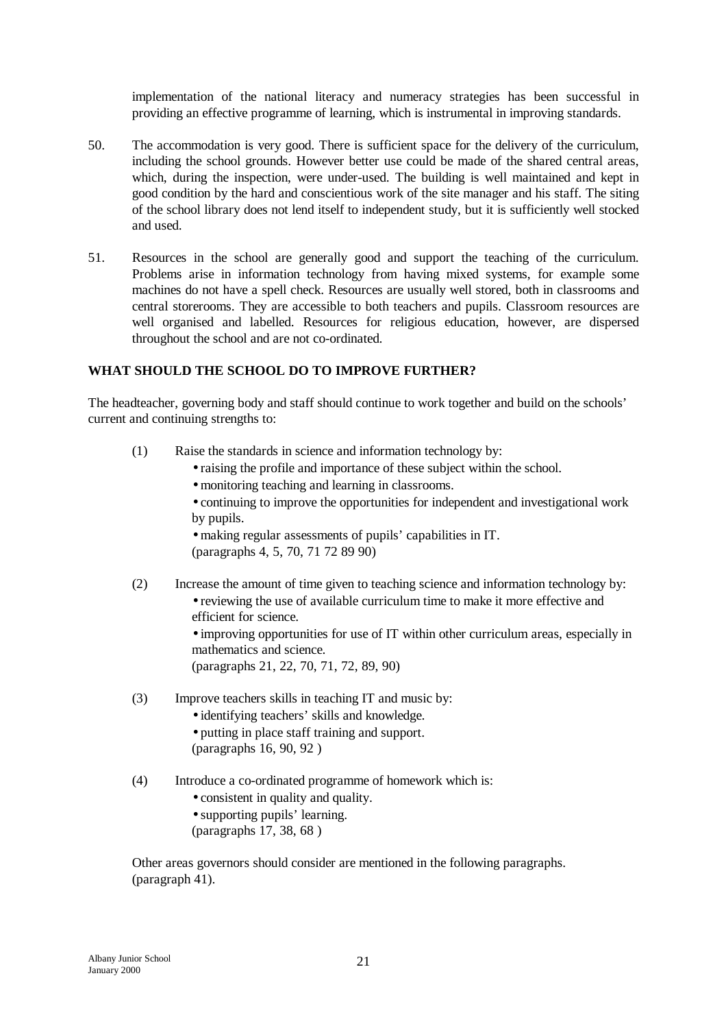implementation of the national literacy and numeracy strategies has been successful in providing an effective programme of learning, which is instrumental in improving standards.

- 50. The accommodation is very good. There is sufficient space for the delivery of the curriculum, including the school grounds. However better use could be made of the shared central areas, which, during the inspection, were under-used. The building is well maintained and kept in good condition by the hard and conscientious work of the site manager and his staff. The siting of the school library does not lend itself to independent study, but it is sufficiently well stocked and used.
- 51. Resources in the school are generally good and support the teaching of the curriculum. Problems arise in information technology from having mixed systems, for example some machines do not have a spell check. Resources are usually well stored, both in classrooms and central storerooms. They are accessible to both teachers and pupils. Classroom resources are well organised and labelled. Resources for religious education, however, are dispersed throughout the school and are not co-ordinated.

#### **WHAT SHOULD THE SCHOOL DO TO IMPROVE FURTHER?**

The headteacher, governing body and staff should continue to work together and build on the schools' current and continuing strengths to:

- (1) Raise the standards in science and information technology by:
	- raising the profile and importance of these subject within the school.
	- monitoring teaching and learning in classrooms.
	- •continuing to improve the opportunities for independent and investigational work by pupils.

•making regular assessments of pupils' capabilities in IT. (paragraphs 4, 5, 70, 71 72 89 90)

(2) Increase the amount of time given to teaching science and information technology by: •reviewing the use of available curriculum time to make it more effective and efficient for science.

•improving opportunities for use of IT within other curriculum areas, especially in mathematics and science.

(paragraphs 21, 22, 70, 71, 72, 89, 90)

(3) Improve teachers skills in teaching IT and music by:

• identifying teachers' skills and knowledge.

- putting in place staff training and support. (paragraphs 16, 90, 92 )
- (4) Introduce a co-ordinated programme of homework which is:
	- consistent in quality and quality.

• supporting pupils' learning.

(paragraphs 17, 38, 68 )

Other areas governors should consider are mentioned in the following paragraphs. (paragraph 41).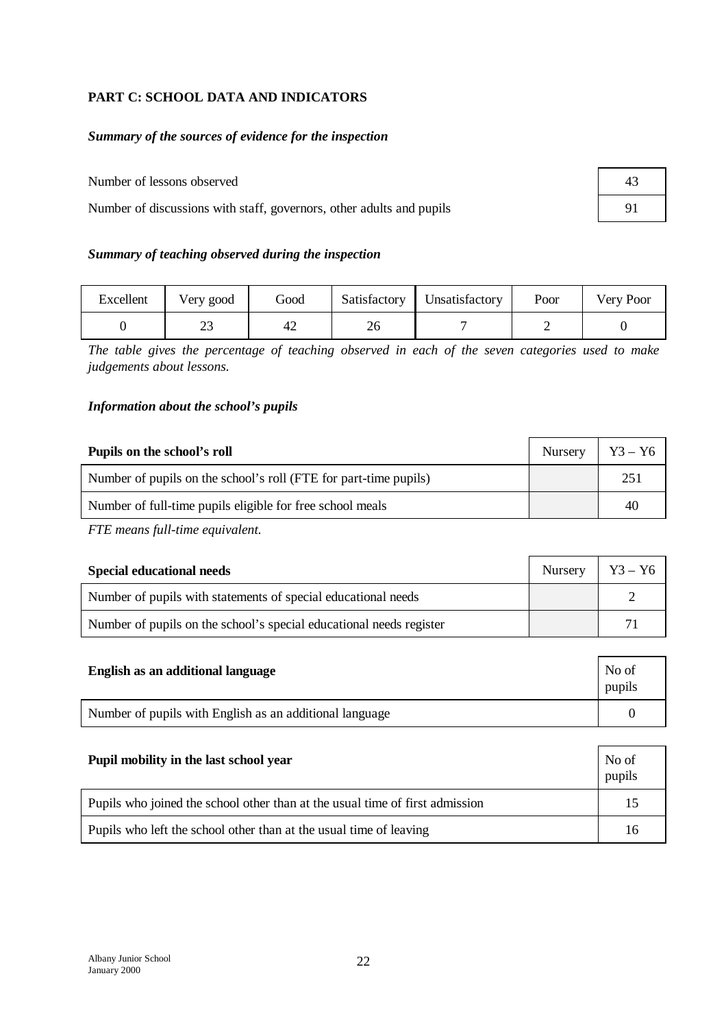# **PART C: SCHOOL DATA AND INDICATORS**

## *Summary of the sources of evidence for the inspection*

## Number of lessons observed

Number of discussions with staff, governors, other adults and pupils

## *Summary of teaching observed during the inspection*

| Excellent | Very good | Good           | Satisfactory   Unsatisfactory | Poor | Very Poor |
|-----------|-----------|----------------|-------------------------------|------|-----------|
|           |           | 4 <sub>4</sub> |                               |      |           |

*The table gives the percentage of teaching observed in each of the seven categories used to make judgements about lessons.*

#### *Information about the school's pupils*

| Pupils on the school's roll                                      | Nursery | $\vert$ Y <sub>3</sub> – Y <sub>6</sub> |
|------------------------------------------------------------------|---------|-----------------------------------------|
| Number of pupils on the school's roll (FTE for part-time pupils) |         | 251                                     |
| Number of full-time pupils eligible for free school meals        |         | 40                                      |

*FTE means full-time equivalent.*

| <b>Special educational needs</b>                                    | Nursery   $Y3 - Y6$ |  |
|---------------------------------------------------------------------|---------------------|--|
| Number of pupils with statements of special educational needs       |                     |  |
| Number of pupils on the school's special educational needs register |                     |  |

| English as an additional language                       | No of<br>pupils |
|---------------------------------------------------------|-----------------|
| Number of pupils with English as an additional language |                 |

| Pupil mobility in the last school year                                       | No of<br>pupils |
|------------------------------------------------------------------------------|-----------------|
| Pupils who joined the school other than at the usual time of first admission | 15              |
| Pupils who left the school other than at the usual time of leaving           | 16              |

| 43 |  |
|----|--|
| 91 |  |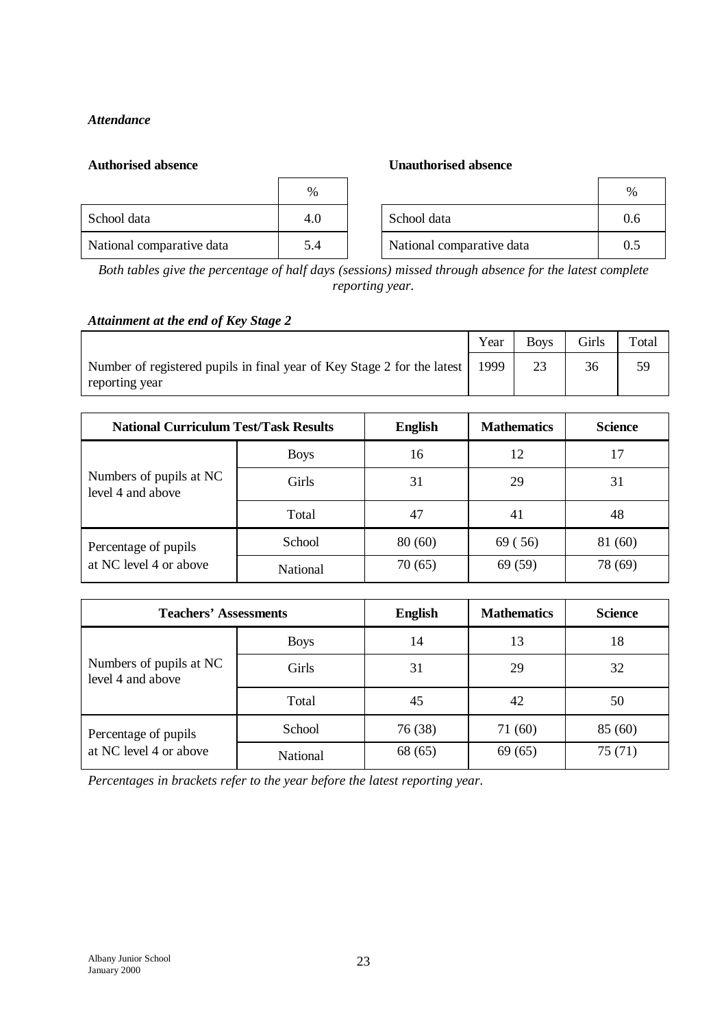## *Attendance*

#### **Authorised absence Unauthorised absence**

|                           | $\%$ |                           | $\%$ |
|---------------------------|------|---------------------------|------|
| School data               | 4.0  | School data               | 0.6  |
| National comparative data | 5.4  | National comparative data | 0.5  |

*Both tables give the percentage of half days (sessions) missed through absence for the latest complete reporting year.*

## *Attainment at the end of Key Stage 2*

|                                                                                           | Year | <b>Boys</b> | Girls | Total |
|-------------------------------------------------------------------------------------------|------|-------------|-------|-------|
| Number of registered pupils in final year of Key Stage 2 for the latest<br>reporting year | 1999 |             |       |       |

| <b>National Curriculum Test/Task Results</b> |             | <b>English</b> | <b>Mathematics</b> | <b>Science</b> |
|----------------------------------------------|-------------|----------------|--------------------|----------------|
|                                              | <b>Boys</b> | 16             | 12                 | 17             |
| Numbers of pupils at NC<br>level 4 and above | Girls       | 31             | 29                 | 31             |
|                                              | Total       | 47             | 41                 | 48             |
| Percentage of pupils                         | School      | 80(60)         | 69 (56)            | 81 (60)        |
| at NC level 4 or above                       | National    | 70(65)         | 69 (59)            | 78 (69)        |

| <b>Teachers' Assessments</b>                 |             | <b>English</b> | <b>Mathematics</b> | <b>Science</b> |
|----------------------------------------------|-------------|----------------|--------------------|----------------|
|                                              | <b>Boys</b> | 14             | 13                 | 18             |
| Numbers of pupils at NC<br>level 4 and above | Girls       | 31             | 29                 | 32             |
|                                              | Total       | 45             | 42                 | 50             |
| Percentage of pupils                         | School      | 76 (38)        | 71 (60)            | 85(60)         |
| at NC level 4 or above                       | National    | 68 (65)        | 69(65)             | 75(71)         |

*Percentages in brackets refer to the year before the latest reporting year.*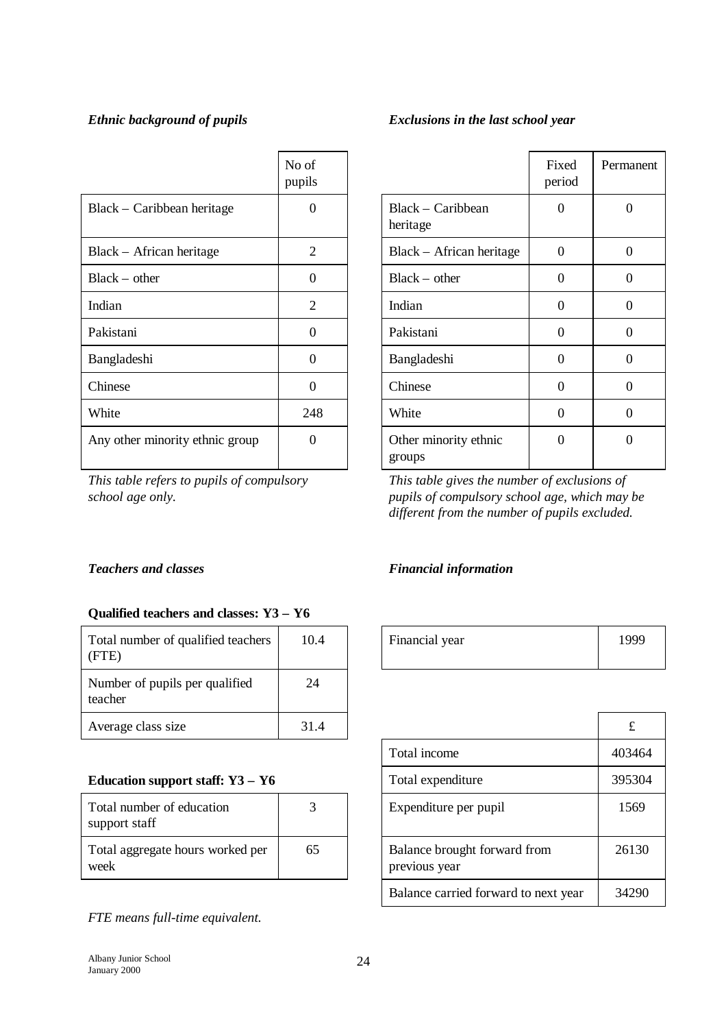# *Ethnic background of pupils Exclusions in the last school year*

| Exclusions in the last school year |  |  |  |
|------------------------------------|--|--|--|
|                                    |  |  |  |

۰

|                                 | No of<br>pupils |                                 | Fixed<br>period | Perma            |
|---------------------------------|-----------------|---------------------------------|-----------------|------------------|
| Black – Caribbean heritage      | $\Omega$        | Black – Caribbean<br>heritage   | $\Omega$        | $\Omega$         |
| Black – African heritage        | $\overline{2}$  | Black – African heritage        | $\theta$        | $\Omega$         |
| $Black - other$                 | $\overline{0}$  | $Black - other$                 | $\Omega$        | $\overline{0}$   |
| Indian                          | $\overline{2}$  | Indian                          | $\Omega$        | $\boldsymbol{0}$ |
| Pakistani                       | $\theta$        | Pakistani                       | $\Omega$        | $\Omega$         |
| Bangladeshi                     | $\Omega$        | Bangladeshi                     | $\Omega$        | $\overline{0}$   |
| Chinese                         | $\overline{0}$  | Chinese                         | $\Omega$        | $\boldsymbol{0}$ |
| White                           | 248             | White                           | $\theta$        | $\boldsymbol{0}$ |
| Any other minority ethnic group | $\Omega$        | Other minority ethnic<br>groups | $\Omega$        | $\boldsymbol{0}$ |

*This table refers to pupils of compulsory school age only.*

|                                 | Fixed<br>period | Permanent |
|---------------------------------|-----------------|-----------|
| Black – Caribbean<br>heritage   | 0               | ∩         |
| Black - African heritage        | $\Omega$        | ∩         |
| $Black - other$                 | 0               | 0         |
| Indian                          | 0               | 0         |
| Pakistani                       | 0               | 0         |
| Bangladeshi                     | 0               | ∩         |
| Chinese                         | ∩               | $\Omega$  |
| White                           | 0               | 0         |
| Other minority ethnic<br>groups | ∩               |           |

*This table gives the number of exclusions of pupils of compulsory school age, which may be different from the number of pupils excluded.*

# *Teachers and classes Financial information*

# **Qualified teachers and classes: Y3 – Y6**

| Total number of qualified teachers<br>(FTE) | 10.4 | Financial year | 199 |
|---------------------------------------------|------|----------------|-----|
| Number of pupils per qualified<br>teacher   | 24   |                |     |
| Average class size                          | 31.4 |                | £   |

## **Education support staff: Y3 - Y6**

| Total number of education<br>support staff |    |
|--------------------------------------------|----|
| Total aggregate hours worked per<br>week   | 65 |

*FTE means full-time equivalent.*

| 10.4 | Financial year | ' QQQ |
|------|----------------|-------|
|      |                |       |

| 1.4 |                                               |                                      | £      |
|-----|-----------------------------------------------|--------------------------------------|--------|
|     |                                               | Total income                         | 403464 |
|     |                                               | Total expenditure                    | 395304 |
|     |                                               | Expenditure per pupil                | 1569   |
| 65  | Balance brought forward from<br>previous year |                                      | 26130  |
|     |                                               | Balance carried forward to next year | 34290  |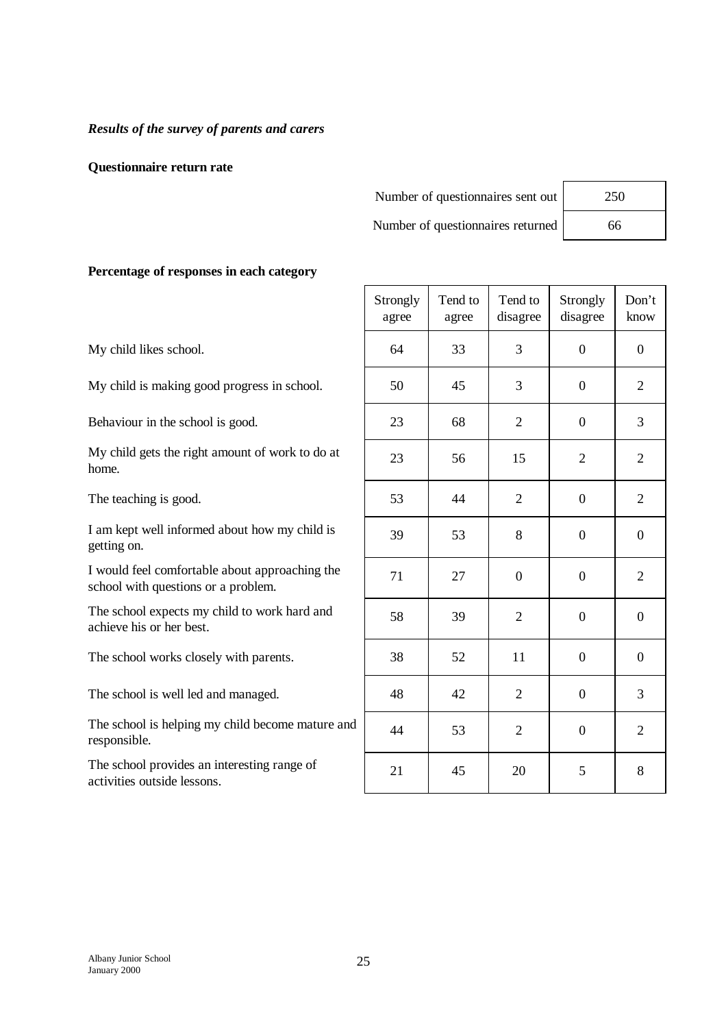#### *Results of the survey of parents and carers*

#### **Questionnaire return rate**

| Number of questionnaires sent out | 250 |  |
|-----------------------------------|-----|--|
| Number of questionnaires returned | 66. |  |

| 250 |  |
|-----|--|
| 66  |  |

## **Percentage of responses in each category**

My child likes school.

My child is making good progress in school.

Behaviour in the school is good.

My child gets the right amount of work to do at home.

The teaching is good.

I am kept well informed about how my child is getting on.

I would feel comfortable about approaching the school with questions or a problem.

The school expects my child to work hard and achieve his or her best.

The school works closely with parents.

The school is well led and managed.

The school is helping my child become mature and responsible.

The school provides an interesting range of activities outside lessons.

| Strongly<br>agree | Tend to<br>agree | Tend to<br>disagree | Strongly<br>disagree | Don't<br>know    |
|-------------------|------------------|---------------------|----------------------|------------------|
| 64                | 33               | 3                   | $\overline{0}$       | $\overline{0}$   |
| 50                | 45               | 3                   | $\overline{0}$       | $\overline{2}$   |
| 23                | 68               | $\overline{2}$      | $\boldsymbol{0}$     | 3                |
| 23                | 56               | 15                  | $\overline{2}$       | $\overline{2}$   |
| 53                | 44               | $\mathbf{2}$        | $\overline{0}$       | $\overline{c}$   |
| 39                | 53               | 8                   | $\boldsymbol{0}$     | $\boldsymbol{0}$ |
| 71                | 27               | $\overline{0}$      | $\overline{0}$       | $\overline{2}$   |
| 58                | 39               | $\overline{2}$      | $\overline{0}$       | $\boldsymbol{0}$ |
| 38                | 52               | 11                  | $\overline{0}$       | $\overline{0}$   |
| 48                | 42               | $\overline{2}$      | $\boldsymbol{0}$     | 3                |
| 44                | 53               | $\mathbf{2}$        | $\boldsymbol{0}$     | $\overline{2}$   |
| 21                | 45               | 20                  | 5                    | 8                |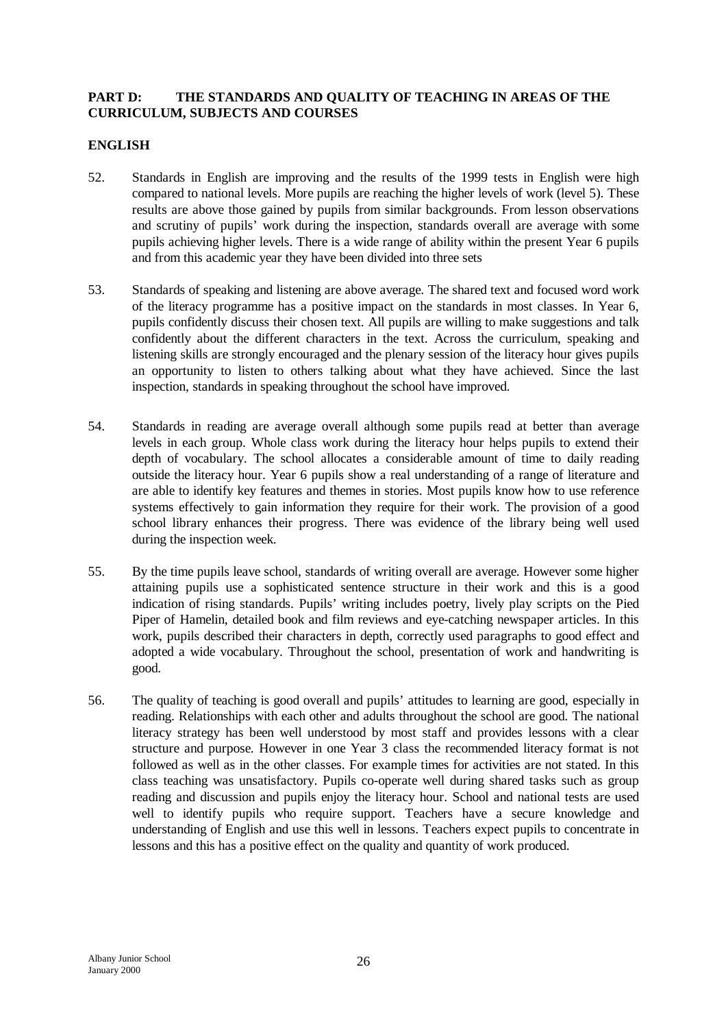## **PART D: THE STANDARDS AND QUALITY OF TEACHING IN AREAS OF THE CURRICULUM, SUBJECTS AND COURSES**

## **ENGLISH**

- 52. Standards in English are improving and the results of the 1999 tests in English were high compared to national levels. More pupils are reaching the higher levels of work (level 5). These results are above those gained by pupils from similar backgrounds. From lesson observations and scrutiny of pupils' work during the inspection, standards overall are average with some pupils achieving higher levels. There is a wide range of ability within the present Year 6 pupils and from this academic year they have been divided into three sets
- 53. Standards of speaking and listening are above average. The shared text and focused word work of the literacy programme has a positive impact on the standards in most classes. In Year 6, pupils confidently discuss their chosen text. All pupils are willing to make suggestions and talk confidently about the different characters in the text. Across the curriculum, speaking and listening skills are strongly encouraged and the plenary session of the literacy hour gives pupils an opportunity to listen to others talking about what they have achieved. Since the last inspection, standards in speaking throughout the school have improved.
- 54. Standards in reading are average overall although some pupils read at better than average levels in each group. Whole class work during the literacy hour helps pupils to extend their depth of vocabulary. The school allocates a considerable amount of time to daily reading outside the literacy hour. Year 6 pupils show a real understanding of a range of literature and are able to identify key features and themes in stories. Most pupils know how to use reference systems effectively to gain information they require for their work. The provision of a good school library enhances their progress. There was evidence of the library being well used during the inspection week.
- 55. By the time pupils leave school, standards of writing overall are average. However some higher attaining pupils use a sophisticated sentence structure in their work and this is a good indication of rising standards. Pupils' writing includes poetry, lively play scripts on the Pied Piper of Hamelin, detailed book and film reviews and eye-catching newspaper articles. In this work, pupils described their characters in depth, correctly used paragraphs to good effect and adopted a wide vocabulary. Throughout the school, presentation of work and handwriting is good.
- 56. The quality of teaching is good overall and pupils' attitudes to learning are good, especially in reading. Relationships with each other and adults throughout the school are good. The national literacy strategy has been well understood by most staff and provides lessons with a clear structure and purpose. However in one Year 3 class the recommended literacy format is not followed as well as in the other classes. For example times for activities are not stated. In this class teaching was unsatisfactory. Pupils co-operate well during shared tasks such as group reading and discussion and pupils enjoy the literacy hour. School and national tests are used well to identify pupils who require support. Teachers have a secure knowledge and understanding of English and use this well in lessons. Teachers expect pupils to concentrate in lessons and this has a positive effect on the quality and quantity of work produced.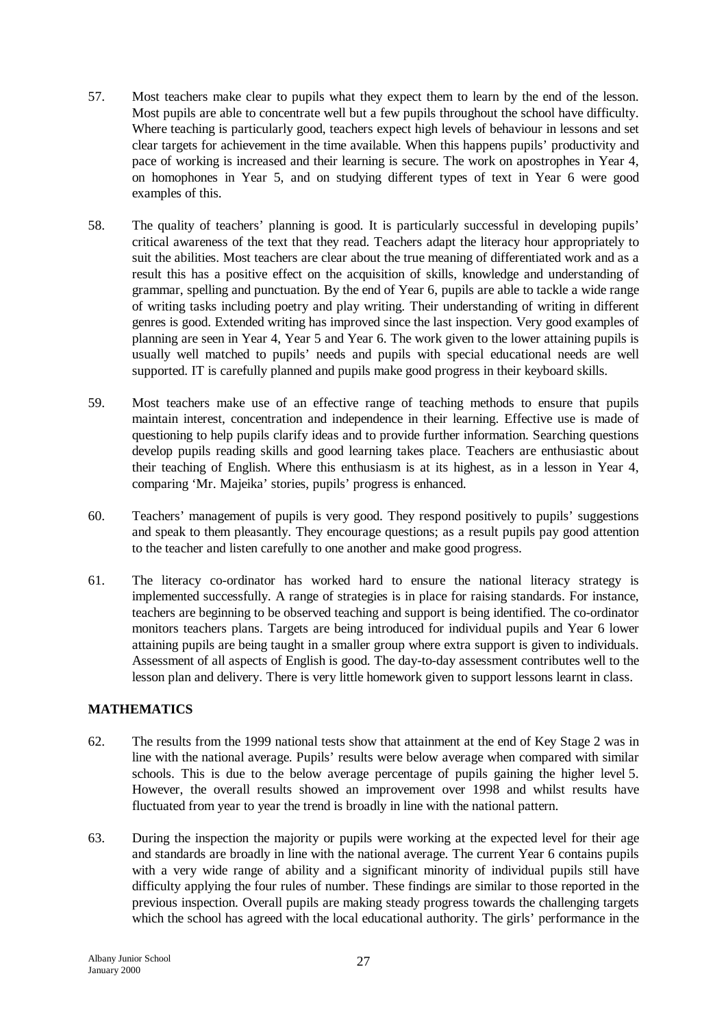- 57. Most teachers make clear to pupils what they expect them to learn by the end of the lesson. Most pupils are able to concentrate well but a few pupils throughout the school have difficulty. Where teaching is particularly good, teachers expect high levels of behaviour in lessons and set clear targets for achievement in the time available. When this happens pupils' productivity and pace of working is increased and their learning is secure. The work on apostrophes in Year 4, on homophones in Year 5, and on studying different types of text in Year 6 were good examples of this.
- 58. The quality of teachers' planning is good. It is particularly successful in developing pupils' critical awareness of the text that they read. Teachers adapt the literacy hour appropriately to suit the abilities. Most teachers are clear about the true meaning of differentiated work and as a result this has a positive effect on the acquisition of skills, knowledge and understanding of grammar, spelling and punctuation. By the end of Year 6, pupils are able to tackle a wide range of writing tasks including poetry and play writing. Their understanding of writing in different genres is good. Extended writing has improved since the last inspection. Very good examples of planning are seen in Year 4, Year 5 and Year 6. The work given to the lower attaining pupils is usually well matched to pupils' needs and pupils with special educational needs are well supported. IT is carefully planned and pupils make good progress in their keyboard skills.
- 59. Most teachers make use of an effective range of teaching methods to ensure that pupils maintain interest, concentration and independence in their learning. Effective use is made of questioning to help pupils clarify ideas and to provide further information. Searching questions develop pupils reading skills and good learning takes place. Teachers are enthusiastic about their teaching of English. Where this enthusiasm is at its highest, as in a lesson in Year 4, comparing 'Mr. Majeika' stories, pupils' progress is enhanced.
- 60. Teachers' management of pupils is very good. They respond positively to pupils' suggestions and speak to them pleasantly. They encourage questions; as a result pupils pay good attention to the teacher and listen carefully to one another and make good progress.
- 61. The literacy co-ordinator has worked hard to ensure the national literacy strategy is implemented successfully. A range of strategies is in place for raising standards. For instance, teachers are beginning to be observed teaching and support is being identified. The co-ordinator monitors teachers plans. Targets are being introduced for individual pupils and Year 6 lower attaining pupils are being taught in a smaller group where extra support is given to individuals. Assessment of all aspects of English is good. The day-to-day assessment contributes well to the lesson plan and delivery. There is very little homework given to support lessons learnt in class.

## **MATHEMATICS**

- 62. The results from the 1999 national tests show that attainment at the end of Key Stage 2 was in line with the national average. Pupils' results were below average when compared with similar schools. This is due to the below average percentage of pupils gaining the higher level 5. However, the overall results showed an improvement over 1998 and whilst results have fluctuated from year to year the trend is broadly in line with the national pattern.
- 63. During the inspection the majority or pupils were working at the expected level for their age and standards are broadly in line with the national average. The current Year 6 contains pupils with a very wide range of ability and a significant minority of individual pupils still have difficulty applying the four rules of number. These findings are similar to those reported in the previous inspection. Overall pupils are making steady progress towards the challenging targets which the school has agreed with the local educational authority. The girls' performance in the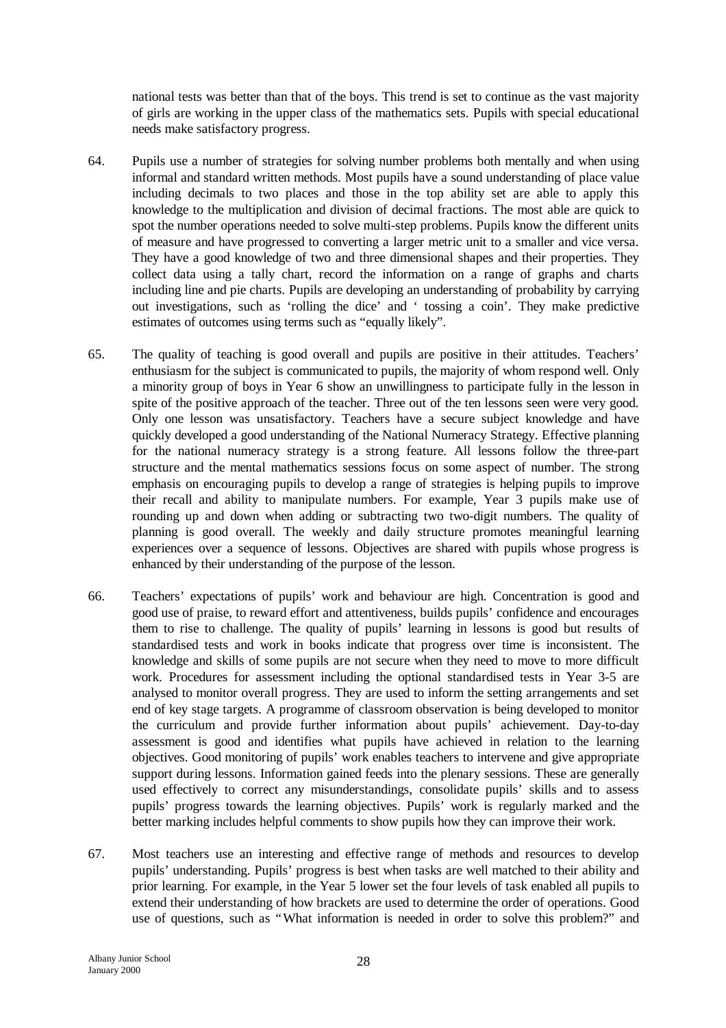national tests was better than that of the boys. This trend is set to continue as the vast majority of girls are working in the upper class of the mathematics sets. Pupils with special educational needs make satisfactory progress.

- 64. Pupils use a number of strategies for solving number problems both mentally and when using informal and standard written methods. Most pupils have a sound understanding of place value including decimals to two places and those in the top ability set are able to apply this knowledge to the multiplication and division of decimal fractions. The most able are quick to spot the number operations needed to solve multi-step problems. Pupils know the different units of measure and have progressed to converting a larger metric unit to a smaller and vice versa. They have a good knowledge of two and three dimensional shapes and their properties. They collect data using a tally chart, record the information on a range of graphs and charts including line and pie charts. Pupils are developing an understanding of probability by carrying out investigations, such as 'rolling the dice' and ' tossing a coin'. They make predictive estimates of outcomes using terms such as "equally likely".
- 65. The quality of teaching is good overall and pupils are positive in their attitudes. Teachers' enthusiasm for the subject is communicated to pupils, the majority of whom respond well. Only a minority group of boys in Year 6 show an unwillingness to participate fully in the lesson in spite of the positive approach of the teacher. Three out of the ten lessons seen were very good. Only one lesson was unsatisfactory. Teachers have a secure subject knowledge and have quickly developed a good understanding of the National Numeracy Strategy. Effective planning for the national numeracy strategy is a strong feature. All lessons follow the three-part structure and the mental mathematics sessions focus on some aspect of number. The strong emphasis on encouraging pupils to develop a range of strategies is helping pupils to improve their recall and ability to manipulate numbers. For example, Year 3 pupils make use of rounding up and down when adding or subtracting two two-digit numbers. The quality of planning is good overall. The weekly and daily structure promotes meaningful learning experiences over a sequence of lessons. Objectives are shared with pupils whose progress is enhanced by their understanding of the purpose of the lesson.
- 66. Teachers' expectations of pupils' work and behaviour are high. Concentration is good and good use of praise, to reward effort and attentiveness, builds pupils' confidence and encourages them to rise to challenge. The quality of pupils' learning in lessons is good but results of standardised tests and work in books indicate that progress over time is inconsistent. The knowledge and skills of some pupils are not secure when they need to move to more difficult work. Procedures for assessment including the optional standardised tests in Year 3-5 are analysed to monitor overall progress. They are used to inform the setting arrangements and set end of key stage targets. A programme of classroom observation is being developed to monitor the curriculum and provide further information about pupils' achievement. Day-to-day assessment is good and identifies what pupils have achieved in relation to the learning objectives. Good monitoring of pupils' work enables teachers to intervene and give appropriate support during lessons. Information gained feeds into the plenary sessions. These are generally used effectively to correct any misunderstandings, consolidate pupils' skills and to assess pupils' progress towards the learning objectives. Pupils' work is regularly marked and the better marking includes helpful comments to show pupils how they can improve their work.
- 67. Most teachers use an interesting and effective range of methods and resources to develop pupils' understanding. Pupils' progress is best when tasks are well matched to their ability and prior learning. For example, in the Year 5 lower set the four levels of task enabled all pupils to extend their understanding of how brackets are used to determine the order of operations. Good use of questions, such as "What information is needed in order to solve this problem?" and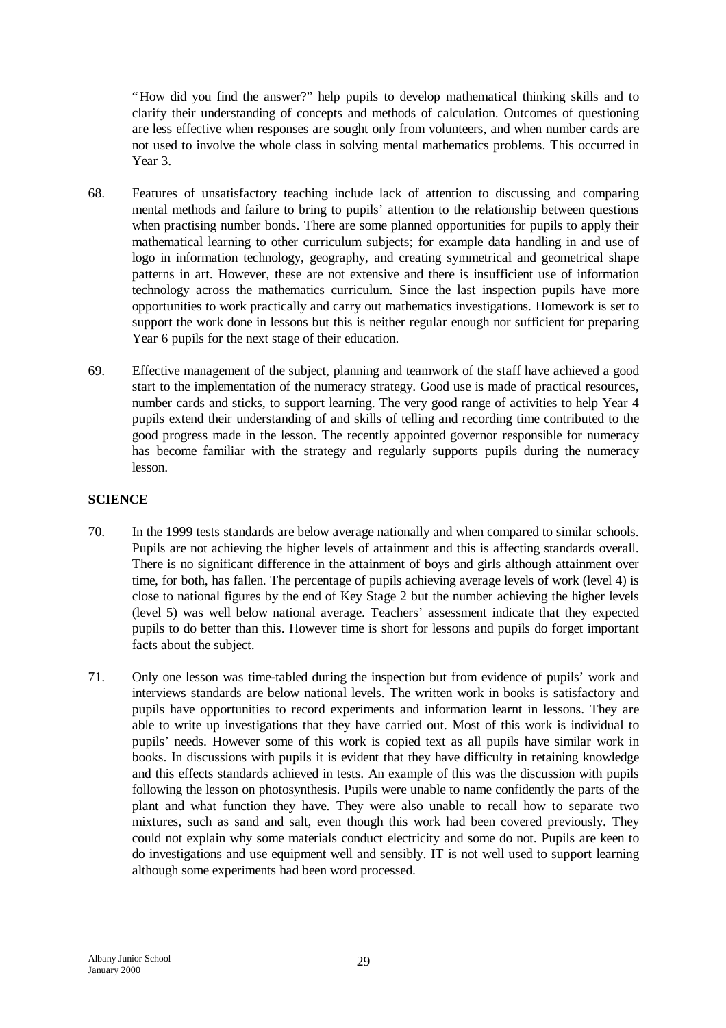"How did you find the answer?" help pupils to develop mathematical thinking skills and to clarify their understanding of concepts and methods of calculation. Outcomes of questioning are less effective when responses are sought only from volunteers, and when number cards are not used to involve the whole class in solving mental mathematics problems. This occurred in Year 3.

- 68. Features of unsatisfactory teaching include lack of attention to discussing and comparing mental methods and failure to bring to pupils' attention to the relationship between questions when practising number bonds. There are some planned opportunities for pupils to apply their mathematical learning to other curriculum subjects; for example data handling in and use of logo in information technology, geography, and creating symmetrical and geometrical shape patterns in art. However, these are not extensive and there is insufficient use of information technology across the mathematics curriculum. Since the last inspection pupils have more opportunities to work practically and carry out mathematics investigations. Homework is set to support the work done in lessons but this is neither regular enough nor sufficient for preparing Year 6 pupils for the next stage of their education.
- 69. Effective management of the subject, planning and teamwork of the staff have achieved a good start to the implementation of the numeracy strategy. Good use is made of practical resources, number cards and sticks, to support learning. The very good range of activities to help Year 4 pupils extend their understanding of and skills of telling and recording time contributed to the good progress made in the lesson. The recently appointed governor responsible for numeracy has become familiar with the strategy and regularly supports pupils during the numeracy lesson.

# **SCIENCE**

- 70. In the 1999 tests standards are below average nationally and when compared to similar schools. Pupils are not achieving the higher levels of attainment and this is affecting standards overall. There is no significant difference in the attainment of boys and girls although attainment over time, for both, has fallen. The percentage of pupils achieving average levels of work (level 4) is close to national figures by the end of Key Stage 2 but the number achieving the higher levels (level 5) was well below national average. Teachers' assessment indicate that they expected pupils to do better than this. However time is short for lessons and pupils do forget important facts about the subject.
- 71. Only one lesson was time-tabled during the inspection but from evidence of pupils' work and interviews standards are below national levels. The written work in books is satisfactory and pupils have opportunities to record experiments and information learnt in lessons. They are able to write up investigations that they have carried out. Most of this work is individual to pupils' needs. However some of this work is copied text as all pupils have similar work in books. In discussions with pupils it is evident that they have difficulty in retaining knowledge and this effects standards achieved in tests. An example of this was the discussion with pupils following the lesson on photosynthesis. Pupils were unable to name confidently the parts of the plant and what function they have. They were also unable to recall how to separate two mixtures, such as sand and salt, even though this work had been covered previously. They could not explain why some materials conduct electricity and some do not. Pupils are keen to do investigations and use equipment well and sensibly. IT is not well used to support learning although some experiments had been word processed.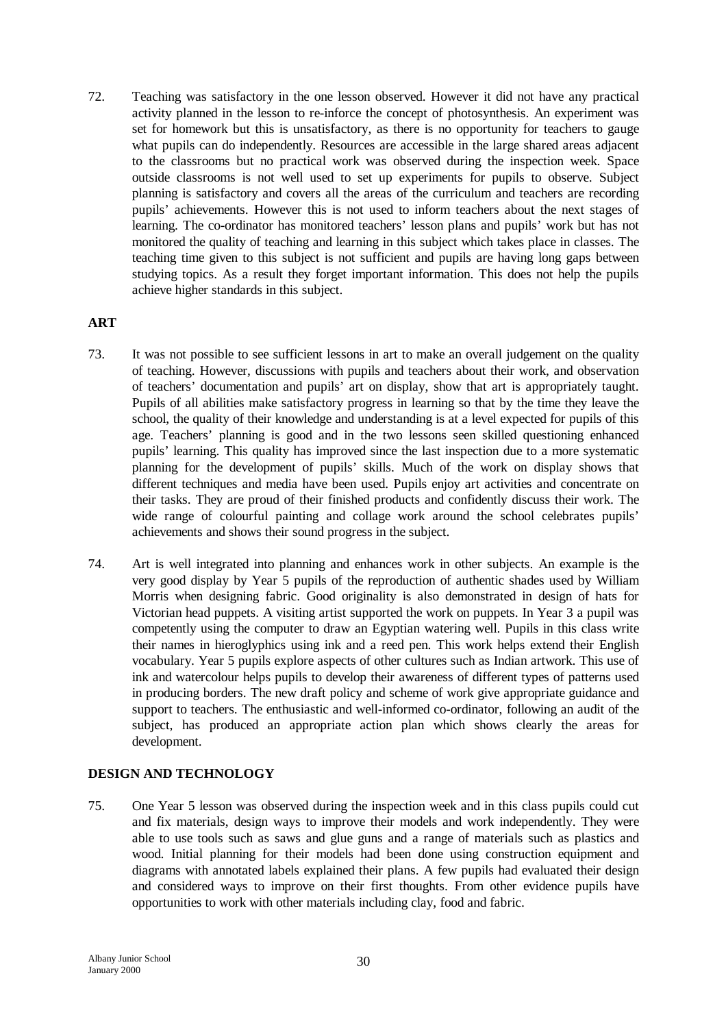72. Teaching was satisfactory in the one lesson observed. However it did not have any practical activity planned in the lesson to re-inforce the concept of photosynthesis. An experiment was set for homework but this is unsatisfactory, as there is no opportunity for teachers to gauge what pupils can do independently. Resources are accessible in the large shared areas adjacent to the classrooms but no practical work was observed during the inspection week. Space outside classrooms is not well used to set up experiments for pupils to observe. Subject planning is satisfactory and covers all the areas of the curriculum and teachers are recording pupils' achievements. However this is not used to inform teachers about the next stages of learning. The co-ordinator has monitored teachers' lesson plans and pupils' work but has not monitored the quality of teaching and learning in this subject which takes place in classes. The teaching time given to this subject is not sufficient and pupils are having long gaps between studying topics. As a result they forget important information. This does not help the pupils achieve higher standards in this subject.

## **ART**

- 73. It was not possible to see sufficient lessons in art to make an overall judgement on the quality of teaching. However, discussions with pupils and teachers about their work, and observation of teachers' documentation and pupils' art on display, show that art is appropriately taught. Pupils of all abilities make satisfactory progress in learning so that by the time they leave the school, the quality of their knowledge and understanding is at a level expected for pupils of this age. Teachers' planning is good and in the two lessons seen skilled questioning enhanced pupils' learning. This quality has improved since the last inspection due to a more systematic planning for the development of pupils' skills. Much of the work on display shows that different techniques and media have been used. Pupils enjoy art activities and concentrate on their tasks. They are proud of their finished products and confidently discuss their work. The wide range of colourful painting and collage work around the school celebrates pupils' achievements and shows their sound progress in the subject.
- 74. Art is well integrated into planning and enhances work in other subjects. An example is the very good display by Year 5 pupils of the reproduction of authentic shades used by William Morris when designing fabric. Good originality is also demonstrated in design of hats for Victorian head puppets. A visiting artist supported the work on puppets. In Year 3 a pupil was competently using the computer to draw an Egyptian watering well. Pupils in this class write their names in hieroglyphics using ink and a reed pen. This work helps extend their English vocabulary. Year 5 pupils explore aspects of other cultures such as Indian artwork. This use of ink and watercolour helps pupils to develop their awareness of different types of patterns used in producing borders. The new draft policy and scheme of work give appropriate guidance and support to teachers. The enthusiastic and well-informed co-ordinator, following an audit of the subject, has produced an appropriate action plan which shows clearly the areas for development.

## **DESIGN AND TECHNOLOGY**

75. One Year 5 lesson was observed during the inspection week and in this class pupils could cut and fix materials, design ways to improve their models and work independently. They were able to use tools such as saws and glue guns and a range of materials such as plastics and wood. Initial planning for their models had been done using construction equipment and diagrams with annotated labels explained their plans. A few pupils had evaluated their design and considered ways to improve on their first thoughts. From other evidence pupils have opportunities to work with other materials including clay, food and fabric.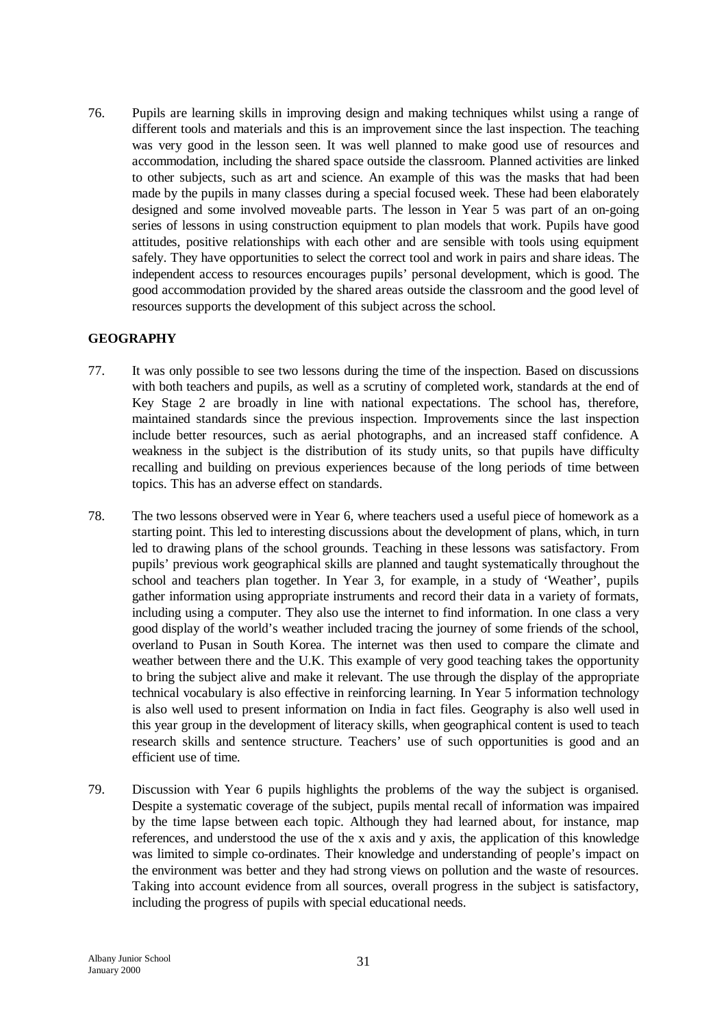76. Pupils are learning skills in improving design and making techniques whilst using a range of different tools and materials and this is an improvement since the last inspection. The teaching was very good in the lesson seen. It was well planned to make good use of resources and accommodation, including the shared space outside the classroom. Planned activities are linked to other subjects, such as art and science. An example of this was the masks that had been made by the pupils in many classes during a special focused week. These had been elaborately designed and some involved moveable parts. The lesson in Year 5 was part of an on-going series of lessons in using construction equipment to plan models that work. Pupils have good attitudes, positive relationships with each other and are sensible with tools using equipment safely. They have opportunities to select the correct tool and work in pairs and share ideas. The independent access to resources encourages pupils' personal development, which is good. The good accommodation provided by the shared areas outside the classroom and the good level of resources supports the development of this subject across the school.

# **GEOGRAPHY**

- 77. It was only possible to see two lessons during the time of the inspection. Based on discussions with both teachers and pupils, as well as a scrutiny of completed work, standards at the end of Key Stage 2 are broadly in line with national expectations. The school has, therefore, maintained standards since the previous inspection. Improvements since the last inspection include better resources, such as aerial photographs, and an increased staff confidence. A weakness in the subject is the distribution of its study units, so that pupils have difficulty recalling and building on previous experiences because of the long periods of time between topics. This has an adverse effect on standards.
- 78. The two lessons observed were in Year 6, where teachers used a useful piece of homework as a starting point. This led to interesting discussions about the development of plans, which, in turn led to drawing plans of the school grounds. Teaching in these lessons was satisfactory. From pupils' previous work geographical skills are planned and taught systematically throughout the school and teachers plan together. In Year 3, for example, in a study of 'Weather', pupils gather information using appropriate instruments and record their data in a variety of formats, including using a computer. They also use the internet to find information. In one class a very good display of the world's weather included tracing the journey of some friends of the school, overland to Pusan in South Korea. The internet was then used to compare the climate and weather between there and the U.K. This example of very good teaching takes the opportunity to bring the subject alive and make it relevant. The use through the display of the appropriate technical vocabulary is also effective in reinforcing learning. In Year 5 information technology is also well used to present information on India in fact files. Geography is also well used in this year group in the development of literacy skills, when geographical content is used to teach research skills and sentence structure. Teachers' use of such opportunities is good and an efficient use of time.
- 79. Discussion with Year 6 pupils highlights the problems of the way the subject is organised. Despite a systematic coverage of the subject, pupils mental recall of information was impaired by the time lapse between each topic. Although they had learned about, for instance, map references, and understood the use of the x axis and y axis, the application of this knowledge was limited to simple co-ordinates. Their knowledge and understanding of people's impact on the environment was better and they had strong views on pollution and the waste of resources. Taking into account evidence from all sources, overall progress in the subject is satisfactory, including the progress of pupils with special educational needs.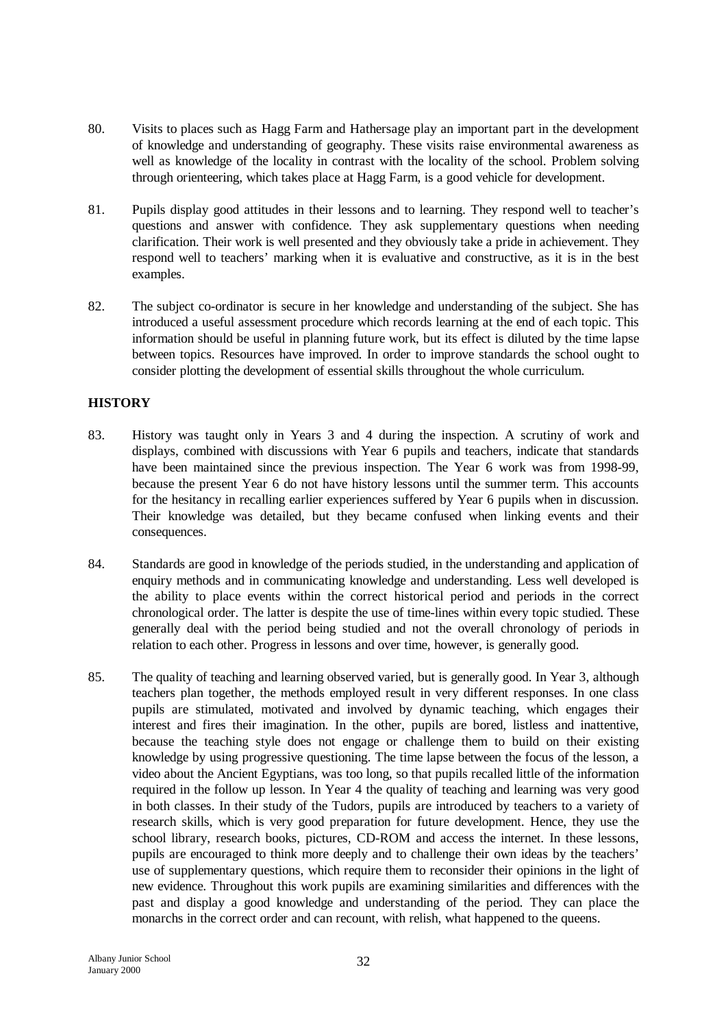- 80. Visits to places such as Hagg Farm and Hathersage play an important part in the development of knowledge and understanding of geography. These visits raise environmental awareness as well as knowledge of the locality in contrast with the locality of the school. Problem solving through orienteering, which takes place at Hagg Farm, is a good vehicle for development.
- 81. Pupils display good attitudes in their lessons and to learning. They respond well to teacher's questions and answer with confidence. They ask supplementary questions when needing clarification. Their work is well presented and they obviously take a pride in achievement. They respond well to teachers' marking when it is evaluative and constructive, as it is in the best examples.
- 82. The subject co-ordinator is secure in her knowledge and understanding of the subject. She has introduced a useful assessment procedure which records learning at the end of each topic. This information should be useful in planning future work, but its effect is diluted by the time lapse between topics. Resources have improved. In order to improve standards the school ought to consider plotting the development of essential skills throughout the whole curriculum.

# **HISTORY**

- 83. History was taught only in Years 3 and 4 during the inspection. A scrutiny of work and displays, combined with discussions with Year 6 pupils and teachers, indicate that standards have been maintained since the previous inspection. The Year 6 work was from 1998-99, because the present Year 6 do not have history lessons until the summer term. This accounts for the hesitancy in recalling earlier experiences suffered by Year 6 pupils when in discussion. Their knowledge was detailed, but they became confused when linking events and their consequences.
- 84. Standards are good in knowledge of the periods studied, in the understanding and application of enquiry methods and in communicating knowledge and understanding. Less well developed is the ability to place events within the correct historical period and periods in the correct chronological order. The latter is despite the use of time-lines within every topic studied. These generally deal with the period being studied and not the overall chronology of periods in relation to each other. Progress in lessons and over time, however, is generally good.
- 85. The quality of teaching and learning observed varied, but is generally good. In Year 3, although teachers plan together, the methods employed result in very different responses. In one class pupils are stimulated, motivated and involved by dynamic teaching, which engages their interest and fires their imagination. In the other, pupils are bored, listless and inattentive, because the teaching style does not engage or challenge them to build on their existing knowledge by using progressive questioning. The time lapse between the focus of the lesson, a video about the Ancient Egyptians, was too long, so that pupils recalled little of the information required in the follow up lesson. In Year 4 the quality of teaching and learning was very good in both classes. In their study of the Tudors, pupils are introduced by teachers to a variety of research skills, which is very good preparation for future development. Hence, they use the school library, research books, pictures, CD-ROM and access the internet. In these lessons, pupils are encouraged to think more deeply and to challenge their own ideas by the teachers' use of supplementary questions, which require them to reconsider their opinions in the light of new evidence. Throughout this work pupils are examining similarities and differences with the past and display a good knowledge and understanding of the period. They can place the monarchs in the correct order and can recount, with relish, what happened to the queens.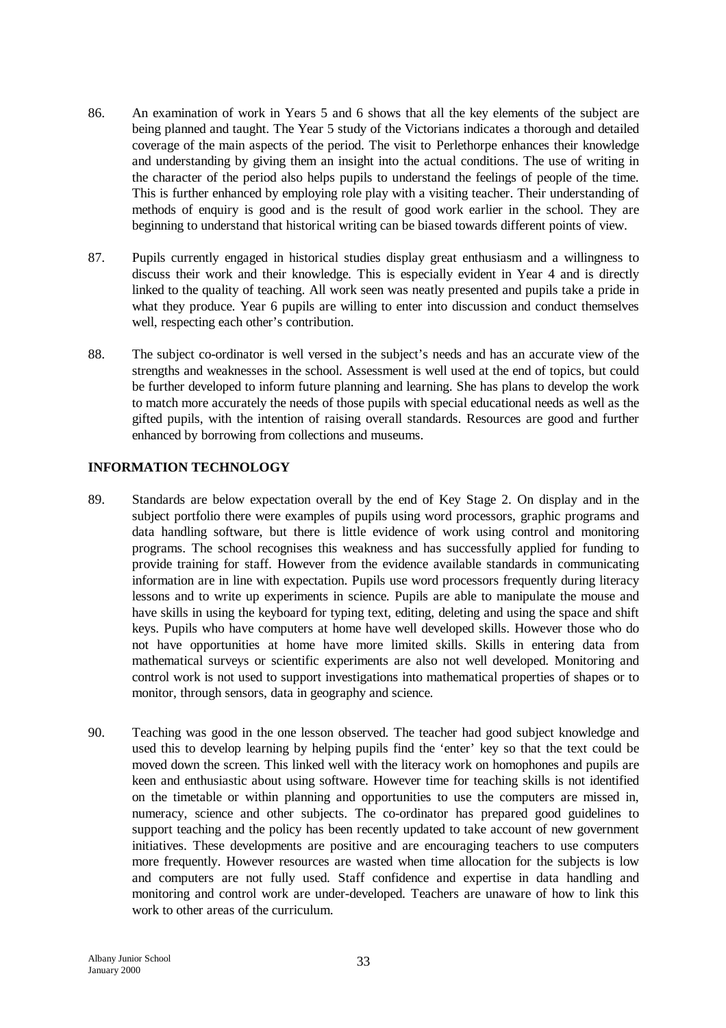- 86. An examination of work in Years 5 and 6 shows that all the key elements of the subject are being planned and taught. The Year 5 study of the Victorians indicates a thorough and detailed coverage of the main aspects of the period. The visit to Perlethorpe enhances their knowledge and understanding by giving them an insight into the actual conditions. The use of writing in the character of the period also helps pupils to understand the feelings of people of the time. This is further enhanced by employing role play with a visiting teacher. Their understanding of methods of enquiry is good and is the result of good work earlier in the school. They are beginning to understand that historical writing can be biased towards different points of view.
- 87. Pupils currently engaged in historical studies display great enthusiasm and a willingness to discuss their work and their knowledge. This is especially evident in Year 4 and is directly linked to the quality of teaching. All work seen was neatly presented and pupils take a pride in what they produce. Year 6 pupils are willing to enter into discussion and conduct themselves well, respecting each other's contribution.
- 88. The subject co-ordinator is well versed in the subject's needs and has an accurate view of the strengths and weaknesses in the school. Assessment is well used at the end of topics, but could be further developed to inform future planning and learning. She has plans to develop the work to match more accurately the needs of those pupils with special educational needs as well as the gifted pupils, with the intention of raising overall standards. Resources are good and further enhanced by borrowing from collections and museums.

# **INFORMATION TECHNOLOGY**

- 89. Standards are below expectation overall by the end of Key Stage 2. On display and in the subject portfolio there were examples of pupils using word processors, graphic programs and data handling software, but there is little evidence of work using control and monitoring programs. The school recognises this weakness and has successfully applied for funding to provide training for staff. However from the evidence available standards in communicating information are in line with expectation. Pupils use word processors frequently during literacy lessons and to write up experiments in science. Pupils are able to manipulate the mouse and have skills in using the keyboard for typing text, editing, deleting and using the space and shift keys. Pupils who have computers at home have well developed skills. However those who do not have opportunities at home have more limited skills. Skills in entering data from mathematical surveys or scientific experiments are also not well developed. Monitoring and control work is not used to support investigations into mathematical properties of shapes or to monitor, through sensors, data in geography and science.
- 90. Teaching was good in the one lesson observed. The teacher had good subject knowledge and used this to develop learning by helping pupils find the 'enter' key so that the text could be moved down the screen. This linked well with the literacy work on homophones and pupils are keen and enthusiastic about using software. However time for teaching skills is not identified on the timetable or within planning and opportunities to use the computers are missed in, numeracy, science and other subjects. The co-ordinator has prepared good guidelines to support teaching and the policy has been recently updated to take account of new government initiatives. These developments are positive and are encouraging teachers to use computers more frequently. However resources are wasted when time allocation for the subjects is low and computers are not fully used. Staff confidence and expertise in data handling and monitoring and control work are under-developed. Teachers are unaware of how to link this work to other areas of the curriculum.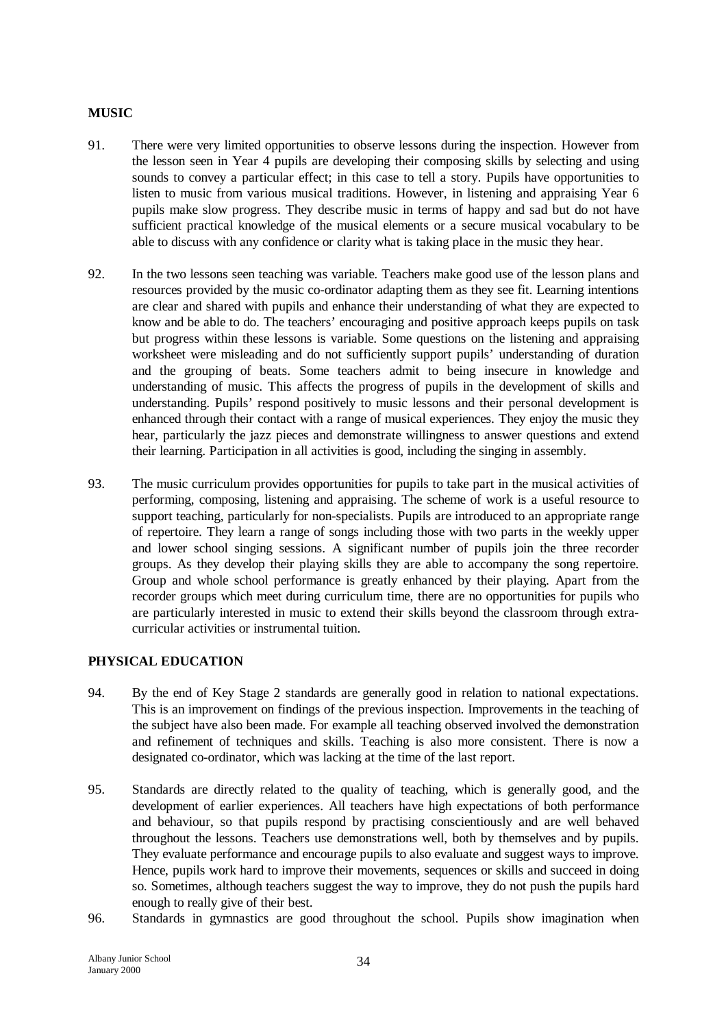## **MUSIC**

- 91. There were very limited opportunities to observe lessons during the inspection. However from the lesson seen in Year 4 pupils are developing their composing skills by selecting and using sounds to convey a particular effect; in this case to tell a story. Pupils have opportunities to listen to music from various musical traditions. However, in listening and appraising Year 6 pupils make slow progress. They describe music in terms of happy and sad but do not have sufficient practical knowledge of the musical elements or a secure musical vocabulary to be able to discuss with any confidence or clarity what is taking place in the music they hear.
- 92. In the two lessons seen teaching was variable. Teachers make good use of the lesson plans and resources provided by the music co-ordinator adapting them as they see fit. Learning intentions are clear and shared with pupils and enhance their understanding of what they are expected to know and be able to do. The teachers' encouraging and positive approach keeps pupils on task but progress within these lessons is variable. Some questions on the listening and appraising worksheet were misleading and do not sufficiently support pupils' understanding of duration and the grouping of beats. Some teachers admit to being insecure in knowledge and understanding of music. This affects the progress of pupils in the development of skills and understanding. Pupils' respond positively to music lessons and their personal development is enhanced through their contact with a range of musical experiences. They enjoy the music they hear, particularly the jazz pieces and demonstrate willingness to answer questions and extend their learning. Participation in all activities is good, including the singing in assembly.
- 93. The music curriculum provides opportunities for pupils to take part in the musical activities of performing, composing, listening and appraising. The scheme of work is a useful resource to support teaching, particularly for non-specialists. Pupils are introduced to an appropriate range of repertoire. They learn a range of songs including those with two parts in the weekly upper and lower school singing sessions. A significant number of pupils join the three recorder groups. As they develop their playing skills they are able to accompany the song repertoire. Group and whole school performance is greatly enhanced by their playing. Apart from the recorder groups which meet during curriculum time, there are no opportunities for pupils who are particularly interested in music to extend their skills beyond the classroom through extracurricular activities or instrumental tuition.

## **PHYSICAL EDUCATION**

- 94. By the end of Key Stage 2 standards are generally good in relation to national expectations. This is an improvement on findings of the previous inspection. Improvements in the teaching of the subject have also been made. For example all teaching observed involved the demonstration and refinement of techniques and skills. Teaching is also more consistent. There is now a designated co-ordinator, which was lacking at the time of the last report.
- 95. Standards are directly related to the quality of teaching, which is generally good, and the development of earlier experiences. All teachers have high expectations of both performance and behaviour, so that pupils respond by practising conscientiously and are well behaved throughout the lessons. Teachers use demonstrations well, both by themselves and by pupils. They evaluate performance and encourage pupils to also evaluate and suggest ways to improve. Hence, pupils work hard to improve their movements, sequences or skills and succeed in doing so. Sometimes, although teachers suggest the way to improve, they do not push the pupils hard enough to really give of their best.
- 96. Standards in gymnastics are good throughout the school. Pupils show imagination when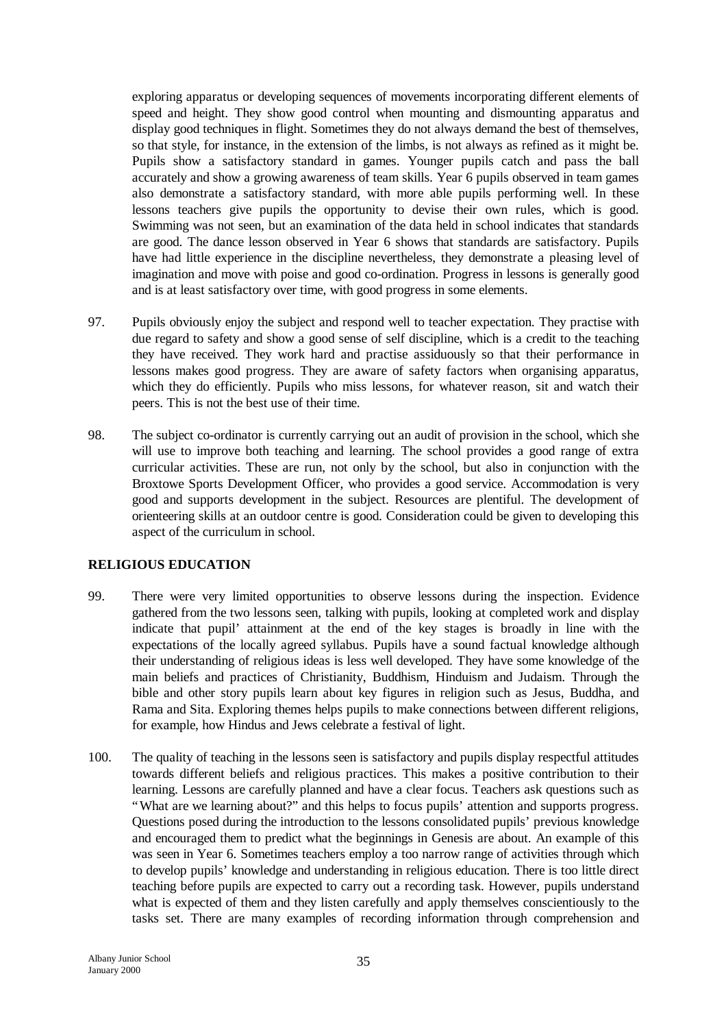exploring apparatus or developing sequences of movements incorporating different elements of speed and height. They show good control when mounting and dismounting apparatus and display good techniques in flight. Sometimes they do not always demand the best of themselves, so that style, for instance, in the extension of the limbs, is not always as refined as it might be. Pupils show a satisfactory standard in games. Younger pupils catch and pass the ball accurately and show a growing awareness of team skills. Year 6 pupils observed in team games also demonstrate a satisfactory standard, with more able pupils performing well. In these lessons teachers give pupils the opportunity to devise their own rules, which is good. Swimming was not seen, but an examination of the data held in school indicates that standards are good. The dance lesson observed in Year 6 shows that standards are satisfactory. Pupils have had little experience in the discipline nevertheless, they demonstrate a pleasing level of imagination and move with poise and good co-ordination. Progress in lessons is generally good and is at least satisfactory over time, with good progress in some elements.

- 97. Pupils obviously enjoy the subject and respond well to teacher expectation. They practise with due regard to safety and show a good sense of self discipline, which is a credit to the teaching they have received. They work hard and practise assiduously so that their performance in lessons makes good progress. They are aware of safety factors when organising apparatus, which they do efficiently. Pupils who miss lessons, for whatever reason, sit and watch their peers. This is not the best use of their time.
- 98. The subject co-ordinator is currently carrying out an audit of provision in the school, which she will use to improve both teaching and learning. The school provides a good range of extra curricular activities. These are run, not only by the school, but also in conjunction with the Broxtowe Sports Development Officer, who provides a good service. Accommodation is very good and supports development in the subject. Resources are plentiful. The development of orienteering skills at an outdoor centre is good. Consideration could be given to developing this aspect of the curriculum in school.

## **RELIGIOUS EDUCATION**

- 99. There were very limited opportunities to observe lessons during the inspection. Evidence gathered from the two lessons seen, talking with pupils, looking at completed work and display indicate that pupil' attainment at the end of the key stages is broadly in line with the expectations of the locally agreed syllabus. Pupils have a sound factual knowledge although their understanding of religious ideas is less well developed. They have some knowledge of the main beliefs and practices of Christianity, Buddhism, Hinduism and Judaism. Through the bible and other story pupils learn about key figures in religion such as Jesus, Buddha, and Rama and Sita. Exploring themes helps pupils to make connections between different religions, for example, how Hindus and Jews celebrate a festival of light.
- 100. The quality of teaching in the lessons seen is satisfactory and pupils display respectful attitudes towards different beliefs and religious practices. This makes a positive contribution to their learning. Lessons are carefully planned and have a clear focus. Teachers ask questions such as "What are we learning about?" and this helps to focus pupils' attention and supports progress. Questions posed during the introduction to the lessons consolidated pupils' previous knowledge and encouraged them to predict what the beginnings in Genesis are about. An example of this was seen in Year 6. Sometimes teachers employ a too narrow range of activities through which to develop pupils' knowledge and understanding in religious education. There is too little direct teaching before pupils are expected to carry out a recording task. However, pupils understand what is expected of them and they listen carefully and apply themselves conscientiously to the tasks set. There are many examples of recording information through comprehension and